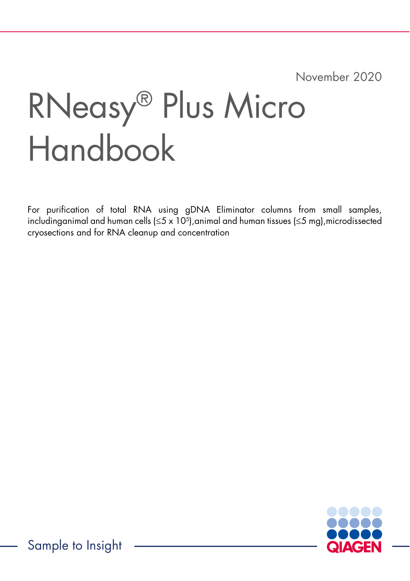November 2020

# RNeasy® Plus Micro Handbook

For purification of total RNA using gDNA Eliminator columns from small samples, includinganimal and human cells (≤5 x 10<sup>5</sup> ),animal and human tissues (≤5 mg),microdissected cryosections and for RNA cleanup and concentration

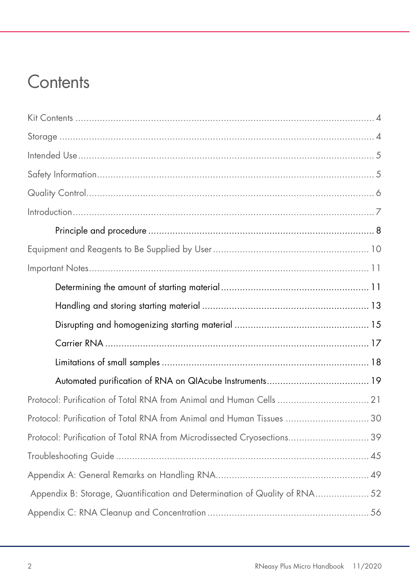### **Contents**

| Protocol: Purification of Total RNA from Animal and Human Tissues  30      |  |
|----------------------------------------------------------------------------|--|
| Protocol: Purification of Total RNA from Microdissected Cryosections 39    |  |
|                                                                            |  |
|                                                                            |  |
| Appendix B: Storage, Quantification and Determination of Quality of RNA 52 |  |
|                                                                            |  |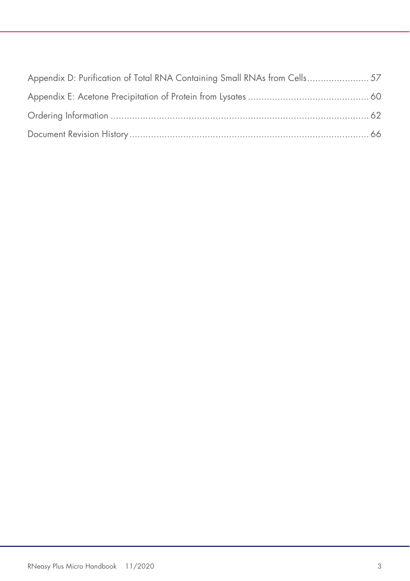| Appendix D: Purification of Total RNA Containing Small RNAs from Cells 57 |  |
|---------------------------------------------------------------------------|--|
|                                                                           |  |
|                                                                           |  |
|                                                                           |  |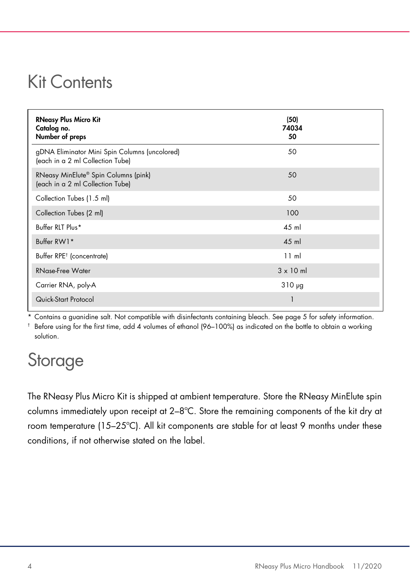### Kit Contents

| <b>RNeasy Plus Micro Kit</b><br>Catalog no.<br>Number of preps                       | (50)<br>74034<br>50 |
|--------------------------------------------------------------------------------------|---------------------|
| gDNA Eliminator Mini Spin Columns (uncolored)<br>(each in a 2 ml Collection Tube)    | 50                  |
| RNeasy MinElute <sup>®</sup> Spin Columns (pink)<br>(each in a 2 ml Collection Tube) | 50                  |
| Collection Tubes (1.5 ml)                                                            | 50                  |
| Collection Tubes (2 ml)                                                              | 100                 |
| Buffer RLT Plus*                                                                     | 45 ml               |
| Buffer RW1*                                                                          | $45$ m              |
| Buffer RPE <sup>†</sup> (concentrate)                                                | $11 \text{ ml}$     |
| <b>RNase-Free Water</b>                                                              | $3 \times 10$ ml    |
| Carrier RNA, poly-A                                                                  | $310 \mu g$         |
| Quick-Start Protocol                                                                 | 1                   |

\* Contains a guanidine salt. Not compatible with disinfectants containing bleach. See page 5 for safety information.

† Before using for the first time, add 4 volumes of ethanol (96–100%) as indicated on the bottle to obtain a working solution.

### Storage

The RNeasy Plus Micro Kit is shipped at ambient temperature. Store the RNeasy MinElute spin columns immediately upon receipt at 2–8ºC. Store the remaining components of the kit dry at room temperature (15–25ºC). All kit components are stable for at least 9 months under these conditions, if not otherwise stated on the label.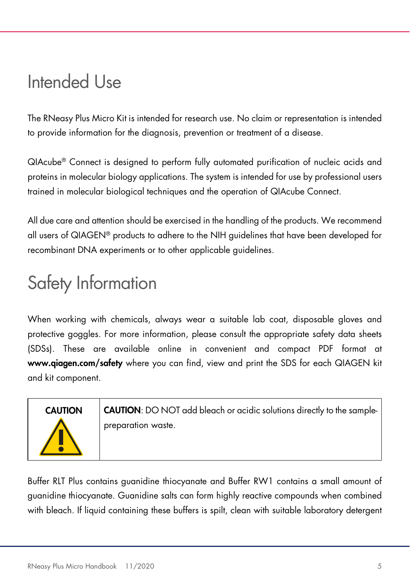### Intended Use

The RNeasy Plus Micro Kit is intended for research use. No claim or representation is intended to provide information for the diagnosis, prevention or treatment of a disease.

QIAcube® Connect is designed to perform fully automated purification of nucleic acids and proteins in molecular biology applications. The system is intended for use by professional users trained in molecular biological techniques and the operation of QIAcube Connect.

All due care and attention should be exercised in the handling of the products. We recommend all users of QIAGEN® products to adhere to the NIH guidelines that have been developed for recombinant DNA experiments or to other applicable guidelines.

### Safety Information

When working with chemicals, always wear a suitable lab coat, disposable gloves and protective goggles. For more information, please consult the appropriate safety data sheets (SDSs). These are available online in convenient and compact PDF format at www.qiagen.com/safety where you can find, view and print the SDS for each QIAGEN kit and kit component.

CAUTION CAUTION: DO NOT add bleach or acidic solutions directly to the samplepreparation waste.

Buffer RLT Plus contains guanidine thiocyanate and Buffer RW1 contains a small amount of guanidine thiocyanate. Guanidine salts can form highly reactive compounds when combined with bleach. If liquid containing these buffers is spilt, clean with suitable laboratory detergent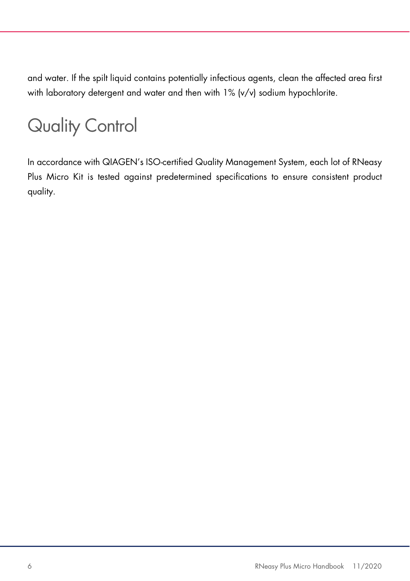and water. If the spilt liquid contains potentially infectious agents, clean the affected area first with laboratory detergent and water and then with 1% (v/v) sodium hypochlorite.

## Quality Control

In accordance with QIAGEN's ISO-certified Quality Management System, each lot of RNeasy Plus Micro Kit is tested against predetermined specifications to ensure consistent product quality.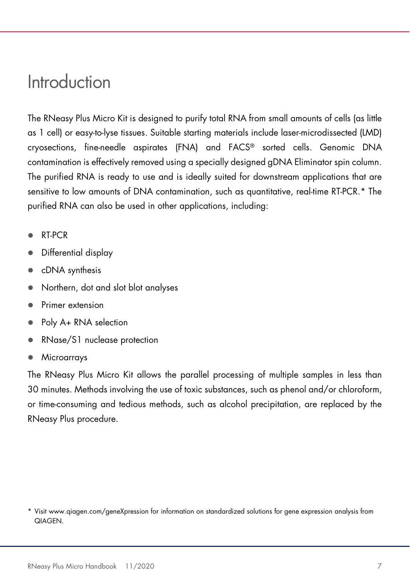### Introduction

The RNeasy Plus Micro Kit is designed to purify total RNA from small amounts of cells (as little as 1 cell) or easy-to-lyse tissues. Suitable starting materials include laser-microdissected (LMD) cryosections, fine-needle aspirates (FNA) and FACS® sorted cells. Genomic DNA contamination is effectively removed using a specially designed gDNA Eliminator spin column. The purified RNA is ready to use and is ideally suited for downstream applications that are sensitive to low amounts of DNA contamination, such as quantitative, real-time RT-PCR.\* The purified RNA can also be used in other applications, including:

- RT-PCR
- Differential display
- cDNA synthesis
- Northern, dot and slot blot analyses
- Primer extension
- Poly A+ RNA selection
- RNase/S1 nuclease protection
- **Microarrays**

The RNeasy Plus Micro Kit allows the parallel processing of multiple samples in less than 30 minutes. Methods involving the use of toxic substances, such as phenol and/or chloroform, or time-consuming and tedious methods, such as alcohol precipitation, are replaced by the RNeasy Plus procedure.

<sup>\*</sup> Visit www.qiagen.com/geneXpression for information on standardized solutions for gene expression analysis from QIAGEN.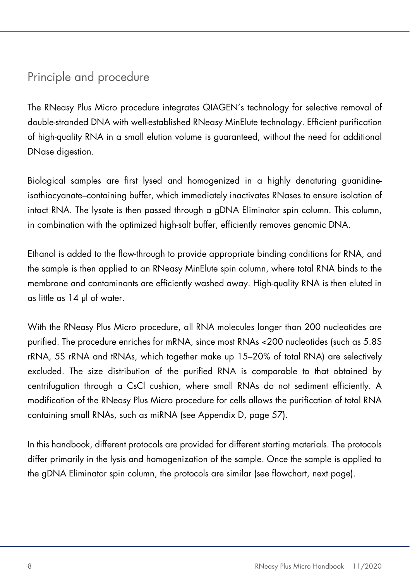### Principle and procedure

The RNeasy Plus Micro procedure integrates QIAGEN's technology for selective removal of double-stranded DNA with well-established RNeasy MinElute technology. Efficient purification of high-quality RNA in a small elution volume is guaranteed, without the need for additional DNase digestion.

Biological samples are first lysed and homogenized in a highly denaturing guanidineisothiocyanate–containing buffer, which immediately inactivates RNases to ensure isolation of intact RNA. The lysate is then passed through a gDNA Eliminator spin column. This column, in combination with the optimized high-salt buffer, efficiently removes genomic DNA.

Ethanol is added to the flow-through to provide appropriate binding conditions for RNA, and the sample is then applied to an RNeasy MinElute spin column, where total RNA binds to the membrane and contaminants are efficiently washed away. High-quality RNA is then eluted in as little as 14 µl of water.

With the RNeasy Plus Micro procedure, all RNA molecules longer than 200 nucleotides are purified. The procedure enriches for mRNA, since most RNAs <200 nucleotides (such as 5.8S rRNA, 5S rRNA and tRNAs, which together make up 15–20% of total RNA) are selectively excluded. The size distribution of the purified RNA is comparable to that obtained by centrifugation through a CsCl cushion, where small RNAs do not sediment efficiently. A modification of the RNeasy Plus Micro procedure for cells allows the purification of total RNA containing small RNAs, such as miRNA (see Appendix D, page 57).

In this handbook, different protocols are provided for different starting materials. The protocols differ primarily in the lysis and homogenization of the sample. Once the sample is applied to the gDNA Eliminator spin column, the protocols are similar (see flowchart, next page).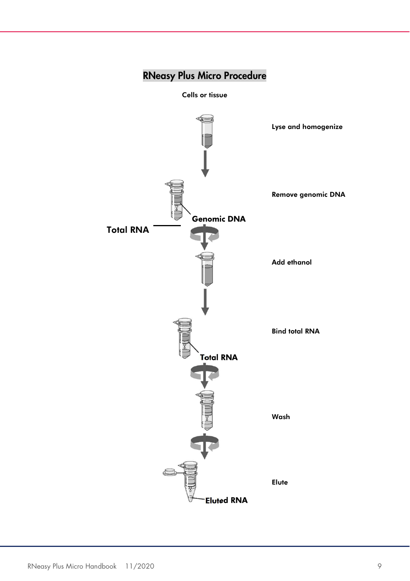### RNeasy Plus Micro Procedure

Cells or tissue

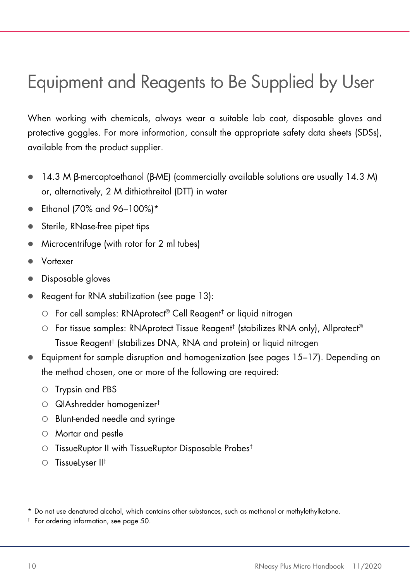### Equipment and Reagents to Be Supplied by User

When working with chemicals, always wear a suitable lab coat, disposable gloves and protective goggles. For more information, consult the appropriate safety data sheets (SDSs), available from the product supplier.

- $\bullet$  14.3 M β-mercaptoethanol (β-ME) (commercially available solutions are usually 14.3 M) or, alternatively, 2 M dithiothreitol (DTT) in water
- $\bullet$  Ethanol (70% and 96-100%)\*
- Sterile, RNase-free pipet tips
- Microcentrifuge (with rotor for 2 ml tubes)
- Vortexer
- Disposable gloves
- Reagent for RNA stabilization (see page 13):
	- For cell samples: RNAprotect® Cell Reagent† or liquid nitrogen
	- For tissue samples: RNAprotect Tissue Reagent† (stabilizes RNA only), Allprotect® Tissue Reagent† (stabilizes DNA, RNA and protein) or liquid nitrogen
- Equipment for sample disruption and homogenization (see pages 15–17). Depending on the method chosen, one or more of the following are required:
	- Trypsin and PBS
	- QIAshredder homogenizer<sup>†</sup>
	- Blunt-ended needle and syringe
	- Mortar and pestle
	- TissueRuptor II with TissueRuptor Disposable Probes<sup>t</sup>
	- $\circ$  Tissuelyser II<sup>t</sup>

† For ordering information, see page 50.

<sup>\*</sup> Do not use denatured alcohol, which contains other substances, such as methanol or methylethylketone.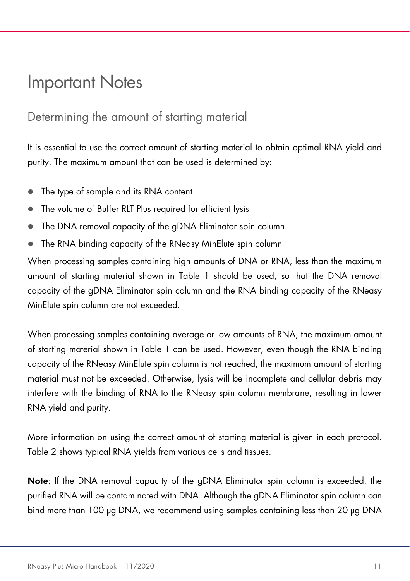### Important Notes

### Determining the amount of starting material

It is essential to use the correct amount of starting material to obtain optimal RNA yield and purity. The maximum amount that can be used is determined by:

- The type of sample and its RNA content
- The volume of Buffer RLT Plus required for efficient lysis
- The DNA removal capacity of the gDNA Eliminator spin column
- The RNA binding capacity of the RNeasy MinElute spin column

When processing samples containing high amounts of DNA or RNA, less than the maximum amount of starting material shown in Table 1 should be used, so that the DNA removal capacity of the gDNA Eliminator spin column and the RNA binding capacity of the RNeasy MinElute spin column are not exceeded.

When processing samples containing average or low amounts of RNA, the maximum amount of starting material shown in Table 1 can be used. However, even though the RNA binding capacity of the RNeasy MinElute spin column is not reached, the maximum amount of starting material must not be exceeded. Otherwise, lysis will be incomplete and cellular debris may interfere with the binding of RNA to the RNeasy spin column membrane, resulting in lower RNA yield and purity.

More information on using the correct amount of starting material is given in each protocol. Table 2 shows typical RNA yields from various cells and tissues.

Note: If the DNA removal capacity of the gDNA Eliminator spin column is exceeded, the purified RNA will be contaminated with DNA. Although the gDNA Eliminator spin column can bind more than 100 µg DNA, we recommend using samples containing less than 20 µg DNA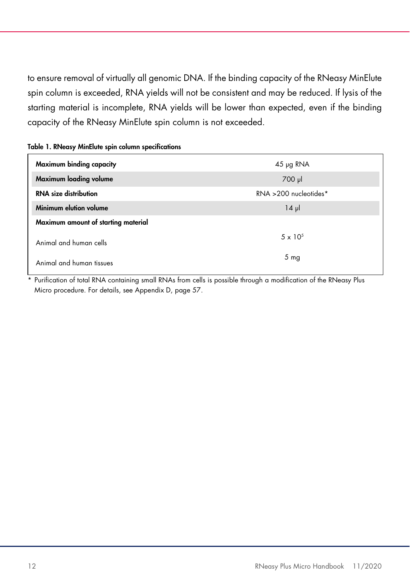to ensure removal of virtually all genomic DNA. If the binding capacity of the RNeasy MinElute spin column is exceeded, RNA yields will not be consistent and may be reduced. If lysis of the starting material is incomplete, RNA yields will be lower than expected, even if the binding capacity of the RNeasy MinElute spin column is not exceeded.

| Table 1. RNeasy MinElute spin column specifications |  |  |  |
|-----------------------------------------------------|--|--|--|
|-----------------------------------------------------|--|--|--|

| Maximum binding capacity            | $45 \mu$ g RNA           |  |
|-------------------------------------|--------------------------|--|
| Maximum loading volume              | 700 µl                   |  |
| <b>RNA</b> size distribution        | $RNA > 200$ nucleotides* |  |
| Minimum elution volume              | $14 \mu$                 |  |
| Maximum amount of starting material |                          |  |
| Animal and human cells              | $5 \times 10^{5}$        |  |
|                                     | 5 <sub>mg</sub>          |  |
| Animal and human tissues            |                          |  |

Purification of total RNA containing small RNAs from cells is possible through a modification of the RNeasy Plus Micro procedure. For details, see Appendix D, page 57.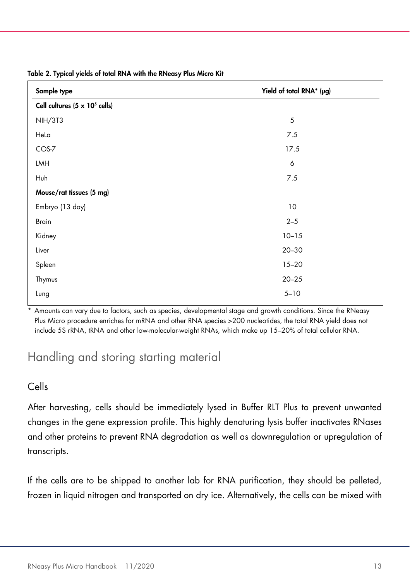| Sample type                                   | Yield of total RNA* (µg) |
|-----------------------------------------------|--------------------------|
| Cell cultures $(5 \times 10^5 \text{ cells})$ |                          |
| <b>NIH/3T3</b>                                | 5                        |
| Hela                                          | 7.5                      |
| COS-7                                         | 17.5                     |
| LMH                                           | 6                        |
| Huh                                           | 7.5                      |
| Mouse/rat tissues (5 mg)                      |                          |
| Embryo (13 day)                               | 10                       |
| Brain                                         | $2 - 5$                  |
| Kidney                                        | $10 - 15$                |
| Liver                                         | $20 - 30$                |
| Spleen                                        | $15 - 20$                |
| Thymus                                        | $20 - 25$                |
| Lung                                          | $5 - 10$                 |

Table 2. Typical yields of total RNA with the RNeasy Plus Micro Kit

\* Amounts can vary due to factors, such as species, developmental stage and growth conditions. Since the RNeasy Plus Micro procedure enriches for mRNA and other RNA species >200 nucleotides, the total RNA yield does not include 5S rRNA, tRNA and other low-molecular-weight RNAs, which make up 15–20% of total cellular RNA.

### Handling and storing starting material

#### Cells

After harvesting, cells should be immediately lysed in Buffer RLT Plus to prevent unwanted changes in the gene expression profile. This highly denaturing lysis buffer inactivates RNases and other proteins to prevent RNA degradation as well as downregulation or upregulation of transcripts.

If the cells are to be shipped to another lab for RNA purification, they should be pelleted, frozen in liquid nitrogen and transported on dry ice. Alternatively, the cells can be mixed with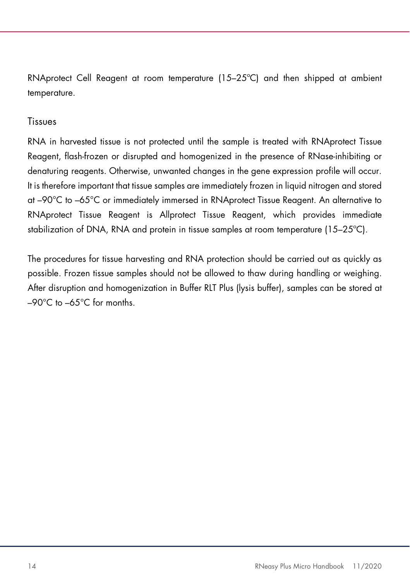RNAprotect Cell Reagent at room temperature (15–25ºC) and then shipped at ambient temperature.

#### Tissues

RNA in harvested tissue is not protected until the sample is treated with RNAprotect Tissue Reagent, flash-frozen or disrupted and homogenized in the presence of RNase-inhibiting or denaturing reagents. Otherwise, unwanted changes in the gene expression profile will occur. It is therefore important that tissue samples are immediately frozen in liquid nitrogen and stored at –90°C to –65°C or immediately immersed in RNAprotect Tissue Reagent. An alternative to RNAprotect Tissue Reagent is Allprotect Tissue Reagent, which provides immediate stabilization of DNA, RNA and protein in tissue samples at room temperature (15–25ºC).

The procedures for tissue harvesting and RNA protection should be carried out as quickly as possible. Frozen tissue samples should not be allowed to thaw during handling or weighing. After disruption and homogenization in Buffer RLT Plus (lysis buffer), samples can be stored at –90°C to –65°C for months.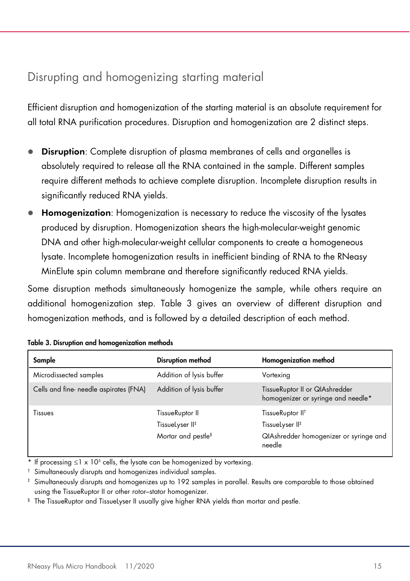### Disrupting and homogenizing starting material

Efficient disruption and homogenization of the starting material is an absolute requirement for all total RNA purification procedures. Disruption and homogenization are 2 distinct steps.

- Disruption: Complete disruption of plasma membranes of cells and organelles is absolutely required to release all the RNA contained in the sample. Different samples require different methods to achieve complete disruption. Incomplete disruption results in significantly reduced RNA yields.
- Homogenization: Homogenization is necessary to reduce the viscosity of the lysates produced by disruption. Homogenization shears the high-molecular-weight genomic DNA and other high-molecular-weight cellular components to create a homogeneous lysate. Incomplete homogenization results in inefficient binding of RNA to the RNeasy MinElute spin column membrane and therefore significantly reduced RNA yields.

Some disruption methods simultaneously homogenize the sample, while others require an additional homogenization step. Table 3 gives an overview of different disruption and homogenization methods, and is followed by a detailed description of each method.

| Sample                                 | Disruption method              | <b>Homogenization method</b>                                         |
|----------------------------------------|--------------------------------|----------------------------------------------------------------------|
| Microdissected samples                 | Addition of lysis buffer       | Vortexing                                                            |
| Cells and fine- needle aspirates (FNA) | Addition of lysis buffer       | TissueRuptor II or QIAshredder<br>homogenizer or syringe and needle* |
| Tissues                                | TissueRuptor II                | TissueRuptor II <sup>t</sup>                                         |
|                                        | TissueLyser II‡                | TissueLyser II <sup>‡</sup>                                          |
|                                        | Mortar and pestle <sup>§</sup> | QIAshredder homogenizer or syringe and<br>needle                     |

|  |  |  | Table 3. Disruption and homogenization methods |  |
|--|--|--|------------------------------------------------|--|
|--|--|--|------------------------------------------------|--|

\* If processing  $\leq$ 1 x 10<sup>5</sup> cells, the lysate can be homogenized by vortexing.

† Simultaneously disrupts and homogenizes individual samples.

‡ Simultaneously disrupts and homogenizes up to 192 samples in parallel. Results are comparable to those obtained using the TissueRuptor II or other rotor–stator homogenizer.

 $^{\circ}\,$  The TissueRuptor and TissueLyser II usually give higher RNA yields than mortar and pestle.  $\,$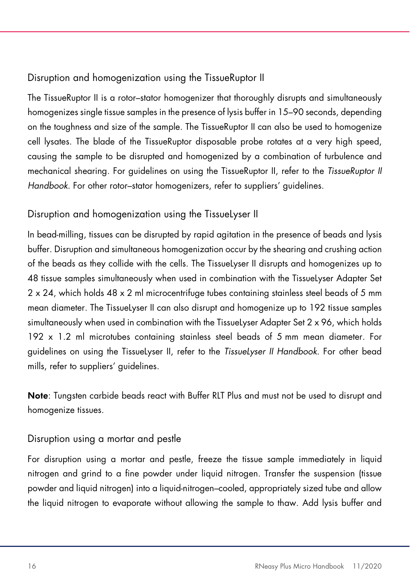### Disruption and homogenization using the TissueRuptor II

The TissueRuptor II is a rotor–stator homogenizer that thoroughly disrupts and simultaneously homogenizes single tissue samples in the presence of lysis buffer in 15–90 seconds, depending on the toughness and size of the sample. The TissueRuptor II can also be used to homogenize cell lysates. The blade of the TissueRuptor disposable probe rotates at a very high speed, causing the sample to be disrupted and homogenized by a combination of turbulence and mechanical shearing. For guidelines on using the TissueRuptor II, refer to the TissueRuptor II Handbook. For other rotor–stator homogenizers, refer to suppliers' guidelines.

### Disruption and homogenization using the TissueLyser II

In bead-milling, tissues can be disrupted by rapid agitation in the presence of beads and lysis buffer. Disruption and simultaneous homogenization occur by the shearing and crushing action of the beads as they collide with the cells. The TissueLyser II disrupts and homogenizes up to 48 tissue samples simultaneously when used in combination with the TissueLyser Adapter Set 2 x 24, which holds 48 x 2 ml microcentrifuge tubes containing stainless steel beads of 5 mm mean diameter. The TissueLyser II can also disrupt and homogenize up to 192 tissue samples simultaneously when used in combination with the TissueLyser Adapter Set 2 x 96, which holds 192 x 1.2 ml microtubes containing stainless steel beads of 5 mm mean diameter. For guidelines on using the TissueLyser II, refer to the TissueLyser II Handbook. For other bead mills, refer to suppliers' guidelines.

Note: Tungsten carbide beads react with Buffer RLT Plus and must not be used to disrupt and homogenize tissues.

### Disruption using a mortar and pestle

For disruption using a mortar and pestle, freeze the tissue sample immediately in liquid nitrogen and grind to a fine powder under liquid nitrogen. Transfer the suspension (tissue powder and liquid nitrogen) into a liquid-nitrogen–cooled, appropriately sized tube and allow the liquid nitrogen to evaporate without allowing the sample to thaw. Add lysis buffer and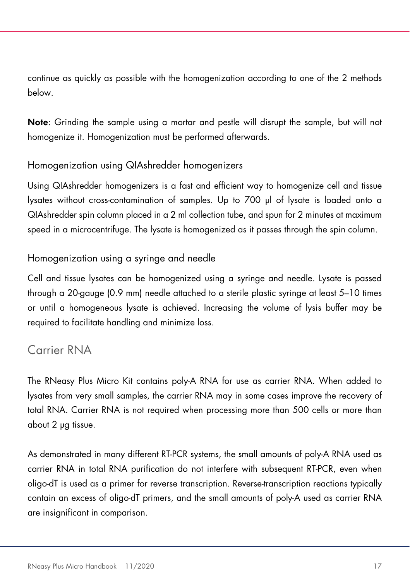continue as quickly as possible with the homogenization according to one of the 2 methods below.

Note: Grinding the sample using a mortar and pestle will disrupt the sample, but will not homogenize it. Homogenization must be performed afterwards.

### Homogenization using QIAshredder homogenizers

Using QIAshredder homogenizers is a fast and efficient way to homogenize cell and tissue lysates without cross-contamination of samples. Up to 700 µl of lysate is loaded onto a QIAshredder spin column placed in a 2 ml collection tube, and spun for 2 minutes at maximum speed in a microcentrifuge. The lysate is homogenized as it passes through the spin column.

### Homogenization using a syringe and needle

Cell and tissue lysates can be homogenized using a syringe and needle. Lysate is passed through a 20-gauge (0.9 mm) needle attached to a sterile plastic syringe at least 5–10 times or until a homogeneous lysate is achieved. Increasing the volume of lysis buffer may be required to facilitate handling and minimize loss.

### Carrier RNA

The RNeasy Plus Micro Kit contains poly-A RNA for use as carrier RNA. When added to lysates from very small samples, the carrier RNA may in some cases improve the recovery of total RNA. Carrier RNA is not required when processing more than 500 cells or more than about 2 µg tissue.

As demonstrated in many different RT-PCR systems, the small amounts of poly-A RNA used as carrier RNA in total RNA purification do not interfere with subsequent RT-PCR, even when oligo-dT is used as a primer for reverse transcription. Reverse-transcription reactions typically contain an excess of oligo-dT primers, and the small amounts of poly-A used as carrier RNA are insignificant in comparison.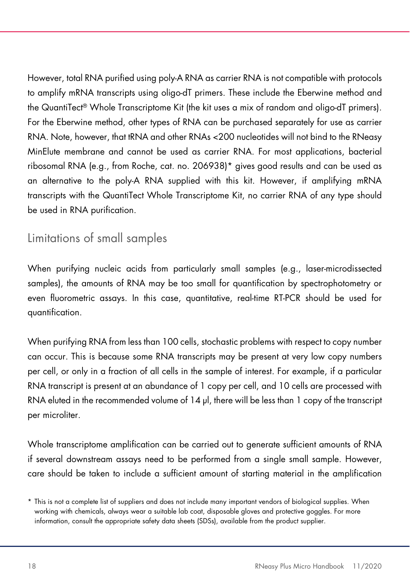However, total RNA purified using poly-A RNA as carrier RNA is not compatible with protocols to amplify mRNA transcripts using oligo-dT primers. These include the Eberwine method and the QuantiTect® Whole Transcriptome Kit (the kit uses a mix of random and oligo-dT primers). For the Eberwine method, other types of RNA can be purchased separately for use as carrier RNA. Note, however, that tRNA and other RNAs <200 nucleotides will not bind to the RNeasy MinElute membrane and cannot be used as carrier RNA. For most applications, bacterial ribosomal RNA (e.g., from Roche, cat. no. 206938)\* gives good results and can be used as an alternative to the poly-A RNA supplied with this kit. However, if amplifying mRNA transcripts with the QuantiTect Whole Transcriptome Kit, no carrier RNA of any type should be used in RNA purification.

### Limitations of small samples

When purifying nucleic acids from particularly small samples (e.g., laser-microdissected samples), the amounts of RNA may be too small for quantification by spectrophotometry or even fluorometric assays. In this case, quantitative, real-time RT-PCR should be used for quantification.

When purifying RNA from less than 100 cells, stochastic problems with respect to copy number can occur. This is because some RNA transcripts may be present at very low copy numbers per cell, or only in a fraction of all cells in the sample of interest. For example, if a particular RNA transcript is present at an abundance of 1 copy per cell, and 10 cells are processed with RNA eluted in the recommended volume of 14 µl, there will be less than 1 copy of the transcript per microliter.

Whole transcriptome amplification can be carried out to generate sufficient amounts of RNA if several downstream assays need to be performed from a single small sample. However, care should be taken to include a sufficient amount of starting material in the amplification

<sup>\*</sup> This is not a complete list of suppliers and does not include many important vendors of biological supplies. When working with chemicals, always wear a suitable lab coat, disposable gloves and protective goggles. For more information, consult the appropriate safety data sheets (SDSs), available from the product supplier.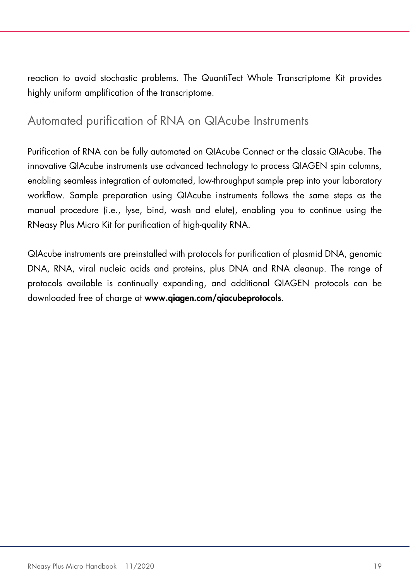reaction to avoid stochastic problems. The QuantiTect Whole Transcriptome Kit provides highly uniform amplification of the transcriptome.

### Automated purification of RNA on QIAcube Instruments

Purification of RNA can be fully automated on QIAcube Connect or the classic QIAcube. The innovative QIAcube instruments use advanced technology to process QIAGEN spin columns, enabling seamless integration of automated, low-throughput sample prep into your laboratory workflow. Sample preparation using QIAcube instruments follows the same steps as the manual procedure (i.e., lyse, bind, wash and elute), enabling you to continue using the RNeasy Plus Micro Kit for purification of high-quality RNA.

QIAcube instruments are preinstalled with protocols for purification of plasmid DNA, genomic DNA, RNA, viral nucleic acids and proteins, plus DNA and RNA cleanup. The range of protocols available is continually expanding, and additional QIAGEN protocols can be downloaded free of charge at www.qiagen.com/qiacubeprotocols.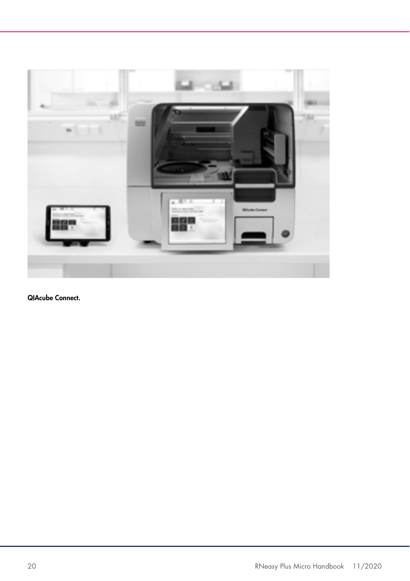

QIAcube Connect.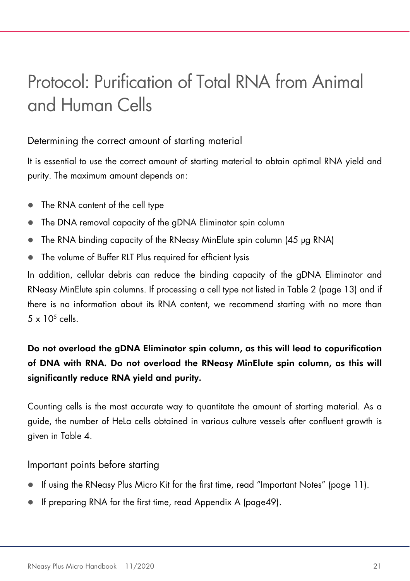### Protocol: Purification of Total RNA from Animal and Human Cells

### Determining the correct amount of starting material

It is essential to use the correct amount of starting material to obtain optimal RNA yield and purity. The maximum amount depends on:

- The RNA content of the cell type
- The DNA removal capacity of the gDNA Eliminator spin column
- The RNA binding capacity of the RNeasy MinElute spin column (45 µg RNA)
- The volume of Buffer RLT Plus required for efficient lysis

In addition, cellular debris can reduce the binding capacity of the gDNA Eliminator and RNeasy MinElute spin columns. If processing a cell type not listed in Table 2 (page 13) and if there is no information about its RNA content, we recommend starting with no more than  $5 \times 10^5$  cells.

### Do not overload the gDNA Eliminator spin column, as this will lead to copurification of DNA with RNA. Do not overload the RNeasy MinElute spin column, as this will significantly reduce RNA yield and purity.

Counting cells is the most accurate way to quantitate the amount of starting material. As a guide, the number of HeLa cells obtained in various culture vessels after confluent growth is given in Table 4.

Important points before starting

- If using the RNeasy Plus Micro Kit for the first time, read "Important Notes" (page 11).
- If preparing RNA for the first time, read Appendix A (page49).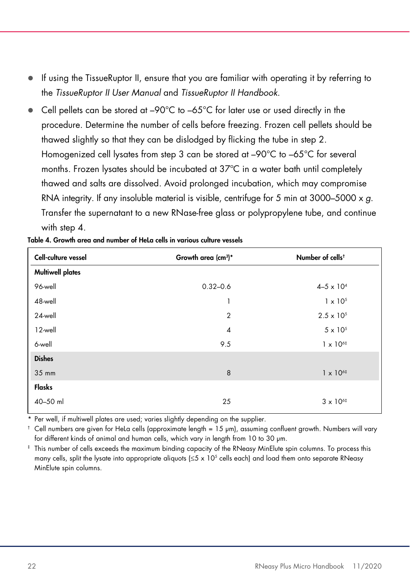- If using the TissueRuptor II, ensure that you are familiar with operating it by referring to the TissueRuptor II User Manual and TissueRuptor II Handbook.
- Cell pellets can be stored at –90°C to –65°C for later use or used directly in the procedure. Determine the number of cells before freezing. Frozen cell pellets should be thawed slightly so that they can be dislodged by flicking the tube in step 2. Homogenized cell lysates from step 3 can be stored at –90°C to –65°C for several months. Frozen lysates should be incubated at 37ºC in a water bath until completely thawed and salts are dissolved. Avoid prolonged incubation, which may compromise RNA integrity. If any insoluble material is visible, centrifuge for 5 min at 3000–5000  $\times$  g. Transfer the supernatant to a new RNase-free glass or polypropylene tube, and continue with step 4.

| Cell-culture vessel     | Growth area (cm <sup>3)*</sup> | Number of cells <sup>t</sup> |
|-------------------------|--------------------------------|------------------------------|
| <b>Multiwell plates</b> |                                |                              |
| 96-well                 | $0.32 - 0.6$                   | $4 - 5 \times 10^{4}$        |
| 48-well                 | 1                              | $1 \times 10^{5}$            |
| 24-well                 | $\overline{2}$                 | $2.5 \times 10^{5}$          |
| 12-well                 | $\overline{4}$                 | $5 \times 10^{5}$            |
| 6-well                  | 9.5                            | $1 \times 10^{6}$            |
| <b>Dishes</b>           |                                |                              |
| 35 mm                   | 8                              | $1 \times 10^{6}$            |
| Flasks                  |                                |                              |
| 40-50 ml                | 25                             | $3 \times 10^{6}$            |

| Table 4. Growth area and number of HeLa cells in various culture vessels |  |  |  |  |
|--------------------------------------------------------------------------|--|--|--|--|
|--------------------------------------------------------------------------|--|--|--|--|

\* Per well, if multiwell plates are used; varies slightly depending on the supplier.

† Cell numbers are given for HeLa cells (approximate length = 15 µm), assuming confluent growth. Numbers will vary for different kinds of animal and human cells, which vary in length from 10 to 30 µm.

‡ This number of cells exceeds the maximum binding capacity of the RNeasy MinElute spin columns. To process this many cells, split the lysate into appropriate aliquots (≤5 x 10<sup>5</sup> cells each) and load them onto separate RNeasy MinElute spin columns.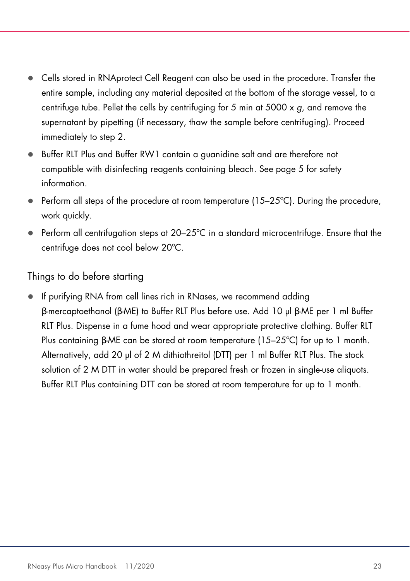- Cells stored in RNAprotect Cell Reagent can also be used in the procedure. Transfer the entire sample, including any material deposited at the bottom of the storage vessel, to a centrifuge tube. Pellet the cells by centrifuging for 5 min at 5000  $\times$  g, and remove the supernatant by pipetting (if necessary, thaw the sample before centrifuging). Proceed immediately to step 2.
- Buffer RLT Plus and Buffer RW1 contain a guanidine salt and are therefore not compatible with disinfecting reagents containing bleach. See page 5 for safety information.
- $\bullet$  Perform all steps of the procedure at room temperature (15–25 $\degree$ C). During the procedure, work quickly.
- $\bullet$  Perform all centrifugation steps at 20–25 $\degree$ C in a standard microcentrifuge. Ensure that the centrifuge does not cool below 20ºC.

#### Things to do before starting

 If purifying RNA from cell lines rich in RNases, we recommend adding β-mercaptoethanol (β-ME) to Buffer RLT Plus before use. Add 10 µl β-ME per 1 ml Buffer RLT Plus. Dispense in a fume hood and wear appropriate protective clothing. Buffer RLT Plus containing β-ME can be stored at room temperature (15–25ºC) for up to 1 month. Alternatively, add 20 µl of 2 M dithiothreitol (DTT) per 1 ml Buffer RLT Plus. The stock solution of 2 M DTT in water should be prepared fresh or frozen in single-use aliquots. Buffer RLT Plus containing DTT can be stored at room temperature for up to 1 month.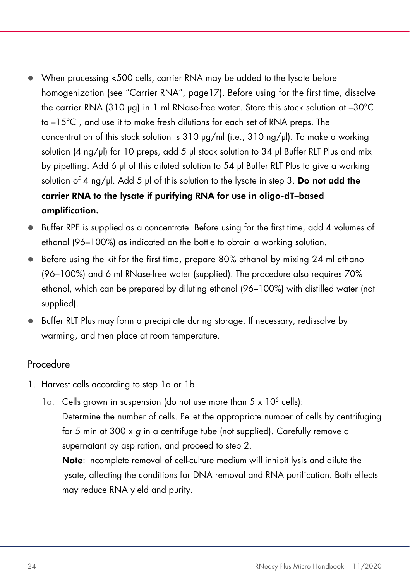- When processing <500 cells, carrier RNA may be added to the lysate before homogenization (see "Carrier RNA", page17). Before using for the first time, dissolve the carrier RNA (310 µg) in 1 ml RNase-free water. Store this stock solution at –30°C to –15°C , and use it to make fresh dilutions for each set of RNA preps. The concentration of this stock solution is 310  $\mu$ g/ml (i.e., 310 ng/ $\mu$ l). To make a working solution (4 ng/µl) for 10 preps, add 5 µl stock solution to 34 µl Buffer RLT Plus and mix by pipetting. Add 6 µl of this diluted solution to 54 µl Buffer RLT Plus to give a working solution of 4 ng/ $\mu$ . Add 5  $\mu$  of this solution to the lysate in step 3. Do not add the carrier RNA to the lysate if purifying RNA for use in oligo-dT–based amplification.
- $\bullet$  Buffer RPE is supplied as a concentrate. Before using for the first time, add 4 volumes of ethanol (96–100%) as indicated on the bottle to obtain a working solution.
- Before using the kit for the first time, prepare 80% ethanol by mixing 24 ml ethanol (96–100%) and 6 ml RNase-free water (supplied). The procedure also requires 70% ethanol, which can be prepared by diluting ethanol (96–100%) with distilled water (not supplied).
- Buffer RLT Plus may form a precipitate during storage. If necessary, redissolve by warming, and then place at room temperature.

#### Procedure

- 1. Harvest cells according to step 1a or 1b.
	- 1a. Cells grown in suspension (do not use more than  $5 \times 10^5$  cells): Determine the number of cells. Pellet the appropriate number of cells by centrifuging for 5 min at 300 x g in a centrifuge tube (not supplied). Carefully remove all supernatant by aspiration, and proceed to step 2.

Note: Incomplete removal of cell-culture medium will inhibit lysis and dilute the lysate, affecting the conditions for DNA removal and RNA purification. Both effects may reduce RNA yield and purity.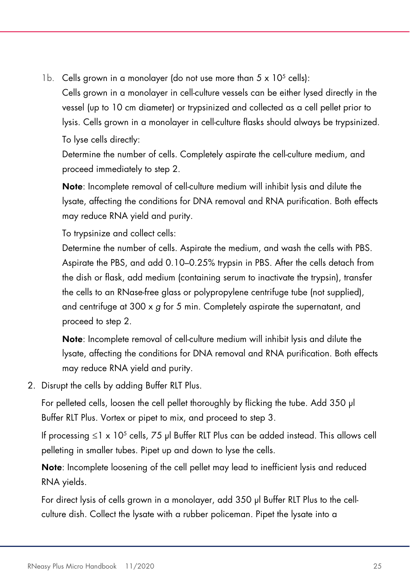1b. Cells grown in a monolayer (do not use more than  $5 \times 10^5$  cells):

Cells grown in a monolayer in cell-culture vessels can be either lysed directly in the vessel (up to 10 cm diameter) or trypsinized and collected as a cell pellet prior to lysis. Cells grown in a monolayer in cell-culture flasks should always be trypsinized.

To lyse cells directly:

Determine the number of cells. Completely aspirate the cell-culture medium, and proceed immediately to step 2.

Note: Incomplete removal of cell-culture medium will inhibit lysis and dilute the lysate, affecting the conditions for DNA removal and RNA purification. Both effects may reduce RNA yield and purity.

To trypsinize and collect cells:

Determine the number of cells. Aspirate the medium, and wash the cells with PBS. Aspirate the PBS, and add 0.10–0.25% trypsin in PBS. After the cells detach from the dish or flask, add medium (containing serum to inactivate the trypsin), transfer the cells to an RNase-free glass or polypropylene centrifuge tube (not supplied), and centrifuge at 300 x g for 5 min. Completely aspirate the supernatant, and proceed to step 2.

Note: Incomplete removal of cell-culture medium will inhibit lysis and dilute the lysate, affecting the conditions for DNA removal and RNA purification. Both effects may reduce RNA yield and purity.

2. Disrupt the cells by adding Buffer RLT Plus.

For pelleted cells, loosen the cell pellet thoroughly by flicking the tube. Add 350 µl Buffer RLT Plus. Vortex or pipet to mix, and proceed to step 3.

If processing ≤1 x 10<sup>5</sup> cells, 75 µl Buffer RLT Plus can be added instead. This allows cell pelleting in smaller tubes. Pipet up and down to lyse the cells.

Note: Incomplete loosening of the cell pellet may lead to inefficient lysis and reduced RNA yields.

For direct lysis of cells grown in a monolayer, add 350 µl Buffer RLT Plus to the cellculture dish. Collect the lysate with a rubber policeman. Pipet the lysate into a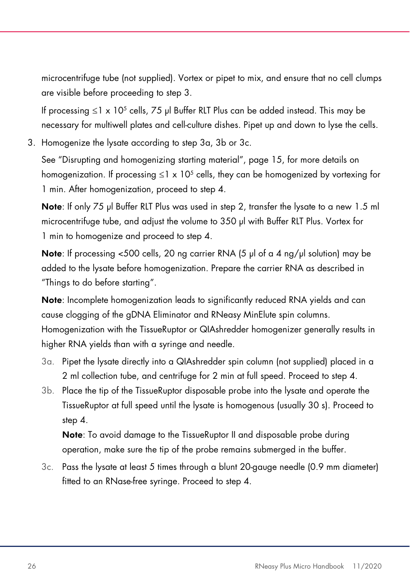microcentrifuge tube (not supplied). Vortex or pipet to mix, and ensure that no cell clumps are visible before proceeding to step 3.

If processing ≤1 x 10<sup>5</sup> cells, 75 µl Buffer RLT Plus can be added instead. This may be necessary for multiwell plates and cell-culture dishes. Pipet up and down to lyse the cells.

3. Homogenize the lysate according to step 3a, 3b or 3c.

See "Disrupting and homogenizing starting material", page 15, for more details on homogenization. If processing ≤1 x 10<sup>5</sup> cells, they can be homogenized by vortexing for 1 min. After homogenization, proceed to step 4.

Note: If only 75 µl Buffer RLT Plus was used in step 2, transfer the lysate to a new 1.5 ml microcentrifuge tube, and adjust the volume to 350 µl with Buffer RLT Plus. Vortex for 1 min to homogenize and proceed to step 4.

**Note:** If processing  $\leq$ 500 cells, 20 ng carrier RNA (5  $\mu$ ) of a 4 ng/ $\mu$  solution) may be added to the lysate before homogenization. Prepare the carrier RNA as described in "Things to do before starting".

Note: Incomplete homogenization leads to significantly reduced RNA yields and can cause clogging of the gDNA Eliminator and RNeasy MinElute spin columns. Homogenization with the TissueRuptor or QIAshredder homogenizer generally results in higher RNA yields than with a syringe and needle.

- 3a. Pipet the lysate directly into a QIAshredder spin column (not supplied) placed in a 2 ml collection tube, and centrifuge for 2 min at full speed. Proceed to step 4.
- 3b. Place the tip of the TissueRuptor disposable probe into the lysate and operate the TissueRuptor at full speed until the lysate is homogenous (usually 30 s). Proceed to step 4.

Note: To avoid damage to the TissueRuptor II and disposable probe during operation, make sure the tip of the probe remains submerged in the buffer.

3c. Pass the lysate at least 5 times through a blunt 20-gauge needle (0.9 mm diameter) fitted to an RNase-free syringe. Proceed to step 4.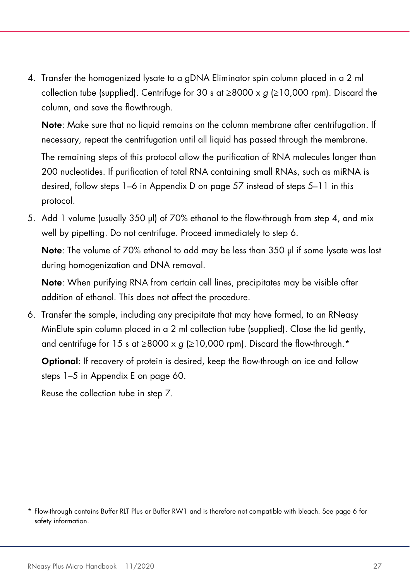4. Transfer the homogenized lysate to a gDNA Eliminator spin column placed in a 2 ml collection tube (supplied). Centrifuge for 30 s at  $\geq$ 8000 x g ( $\geq$ 10,000 rpm). Discard the column, and save the flowthrough.

Note: Make sure that no liquid remains on the column membrane after centrifugation. If necessary, repeat the centrifugation until all liquid has passed through the membrane.

The remaining steps of this protocol allow the purification of RNA molecules longer than 200 nucleotides. If purification of total RNA containing small RNAs, such as miRNA is desired, follow steps 1–6 in Appendix D on page 57 instead of steps 5–11 in this protocol.

5. Add 1 volume (usually 350 µl) of 70% ethanol to the flow-through from step 4, and mix well by pipetting. Do not centrifuge. Proceed immediately to step 6.

Note: The volume of 70% ethanol to add may be less than 350 µl if some lysate was lost during homogenization and DNA removal.

Note: When purifying RNA from certain cell lines, precipitates may be visible after addition of ethanol. This does not affect the procedure.

6. Transfer the sample, including any precipitate that may have formed, to an RNeasy MinElute spin column placed in a 2 ml collection tube (supplied). Close the lid gently, and centrifuge for 15 s at  $\geq$ 8000 x g ( $\geq$ 10,000 rpm). Discard the flow-through.<sup>\*</sup>

Optional: If recovery of protein is desired, keep the flow-through on ice and follow steps 1–5 in Appendix E on page 60.

Reuse the collection tube in step 7.

<sup>\*</sup> Flow-through contains Buffer RLT Plus or Buffer RW1 and is therefore not compatible with bleach. See page 6 for safety information.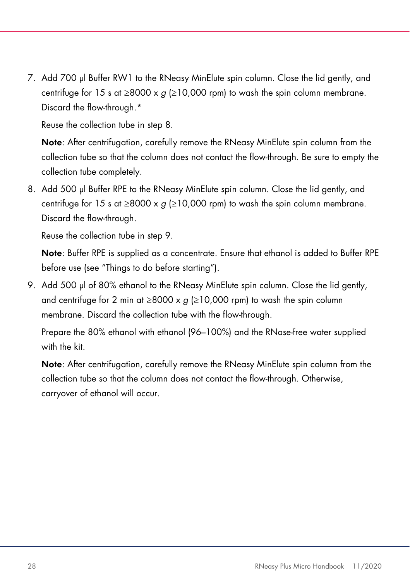7. Add 700 µl Buffer RW1 to the RNeasy MinElute spin column. Close the lid gently, and centrifuge for 15 s at  $\geq$ 8000 x q ( $\geq$ 10,000 rpm) to wash the spin column membrane. Discard the flow-through.\*

Reuse the collection tube in step 8.

Note: After centrifugation, carefully remove the RNeasy MinElute spin column from the collection tube so that the column does not contact the flow-through. Be sure to empty the collection tube completely.

8. Add 500 µl Buffer RPE to the RNeasy MinElute spin column. Close the lid gently, and centrifuge for 15 s at  $\geq$ 8000 x g ( $\geq$ 10,000 rpm) to wash the spin column membrane. Discard the flow-through.

Reuse the collection tube in step 9.

Note: Buffer RPE is supplied as a concentrate. Ensure that ethanol is added to Buffer RPE before use (see "Things to do before starting").

9. Add 500 µl of 80% ethanol to the RNeasy MinElute spin column. Close the lid gently, and centrifuge for 2 min at  $\geq 8000 \times g$  ( $\geq 10,000$  rpm) to wash the spin column membrane. Discard the collection tube with the flow-through.

Prepare the 80% ethanol with ethanol (96–100%) and the RNase-free water supplied with the kit.

Note: After centrifugation, carefully remove the RNeasy MinElute spin column from the collection tube so that the column does not contact the flow-through. Otherwise, carryover of ethanol will occur.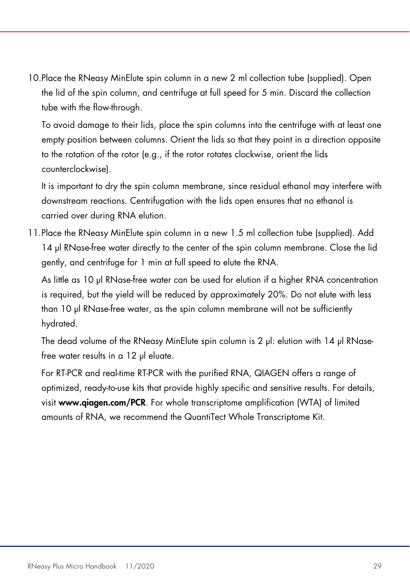10.Place the RNeasy MinElute spin column in a new 2 ml collection tube (supplied). Open the lid of the spin column, and centrifuge at full speed for 5 min. Discard the collection tube with the flow-through.

To avoid damage to their lids, place the spin columns into the centrifuge with at least one empty position between columns. Orient the lids so that they point in a direction opposite to the rotation of the rotor (e.g., if the rotor rotates clockwise, orient the lids counterclockwise).

It is important to dry the spin column membrane, since residual ethanol may interfere with downstream reactions. Centrifugation with the lids open ensures that no ethanol is carried over during RNA elution.

11.Place the RNeasy MinElute spin column in a new 1.5 ml collection tube (supplied). Add 14 µl RNase-free water directly to the center of the spin column membrane. Close the lid gently, and centrifuge for 1 min at full speed to elute the RNA.

As little as 10 µl RNase-free water can be used for elution if a higher RNA concentration is required, but the yield will be reduced by approximately 20%. Do not elute with less than 10 µl RNase-free water, as the spin column membrane will not be sufficiently hydrated.

The dead volume of the RNeasy MinElute spin column is 2 µl: elution with 14 µl RNasefree water results in a 12 µl eluate.

For RT-PCR and real-time RT-PCR with the purified RNA, QIAGEN offers a range of optimized, ready-to-use kits that provide highly specific and sensitive results. For details, visit www.qiagen.com/PCR. For whole transcriptome amplification (WTA) of limited amounts of RNA, we recommend the QuantiTect Whole Transcriptome Kit.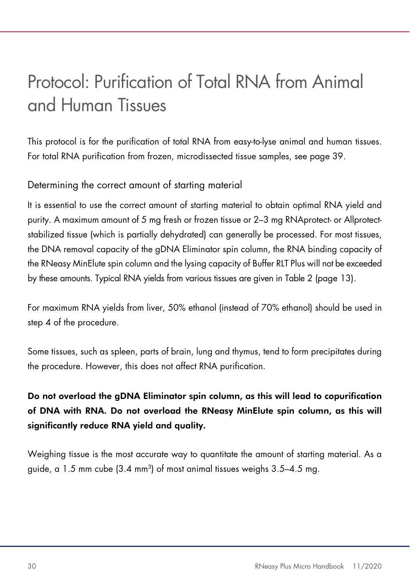### Protocol: Purification of Total RNA from Animal and Human Tissues

This protocol is for the purification of total RNA from easy-to-lyse animal and human tissues. For total RNA purification from frozen, microdissected tissue samples, see page 39.

### Determining the correct amount of starting material

It is essential to use the correct amount of starting material to obtain optimal RNA yield and purity. A maximum amount of 5 mg fresh or frozen tissue or 2–3 mg RNAprotect- or Allprotectstabilized tissue (which is partially dehydrated) can generally be processed. For most tissues, the DNA removal capacity of the gDNA Eliminator spin column, the RNA binding capacity of the RNeasy MinElute spin column and the lysing capacity of Buffer RLT Plus will not be exceeded by these amounts. Typical RNA yields from various tissues are given in Table 2 (page 13).

For maximum RNA yields from liver, 50% ethanol (instead of 70% ethanol) should be used in step 4 of the procedure.

Some tissues, such as spleen, parts of brain, lung and thymus, tend to form precipitates during the procedure. However, this does not affect RNA purification.

### Do not overload the gDNA Eliminator spin column, as this will lead to copurification of DNA with RNA. Do not overload the RNeasy MinElute spin column, as this will significantly reduce RNA yield and quality.

Weighing tissue is the most accurate way to quantitate the amount of starting material. As a guide, a 1.5 mm cube (3.4 mm $^3$ ) of most animal tissues weighs 3.5–4.5 mg.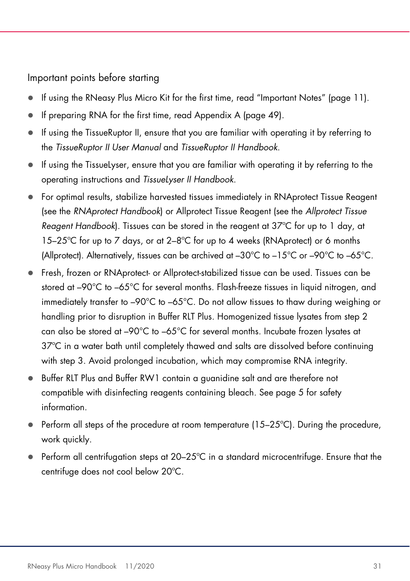Important points before starting

- If using the RNeasy Plus Micro Kit for the first time, read "Important Notes" (page 11).
- If preparing RNA for the first time, read Appendix A (page 49).
- $\bullet$  If using the TissueRuptor II, ensure that you are familiar with operating it by referring to the TissueRuptor II User Manual and TissueRuptor II Handbook.
- If using the TissueLyser, ensure that you are familiar with operating it by referring to the operating instructions and TissueLyser II Handbook.
- For optimal results, stabilize harvested tissues immediately in RNAprotect Tissue Reagent (see the RNAprotect Handbook) or Allprotect Tissue Reagent (see the Allprotect Tissue Reagent Handbook). Tissues can be stored in the reagent at  $37^{\circ}$ C for up to 1 day, at 15–25ºC for up to 7 days, or at 2–8ºC for up to 4 weeks (RNAprotect) or 6 months (Allprotect). Alternatively, tissues can be archived at  $-30^{\circ}$ C to  $-15^{\circ}$ C or  $-90^{\circ}$ C to  $-65^{\circ}$ C.
- Fresh, frozen or RNAprotect- or Allprotect-stabilized tissue can be used. Tissues can be stored at –90°C to –65°C for several months. Flash-freeze tissues in liquid nitrogen, and immediately transfer to –90°C to –65°C. Do not allow tissues to thaw during weighing or handling prior to disruption in Buffer RLT Plus. Homogenized tissue lysates from step 2 can also be stored at –90°C to –65°C for several months. Incubate frozen lysates at 37ºC in a water bath until completely thawed and salts are dissolved before continuing with step 3. Avoid prolonged incubation, which may compromise RNA integrity.
- Buffer RLT Plus and Buffer RW1 contain a guanidine salt and are therefore not compatible with disinfecting reagents containing bleach. See page 5 for safety information.
- Perform all steps of the procedure at room temperature (15–25°C). During the procedure, work quickly.
- **Perform all centrifugation steps at 20–25°C in a standard microcentrifuge. Ensure that the** centrifuge does not cool below 20ºC.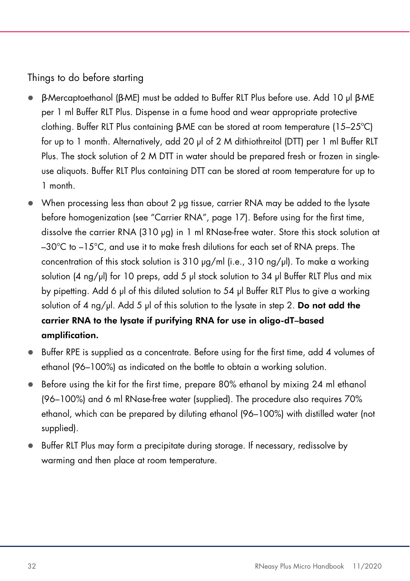Things to do before starting

- β-Mercaptoethanol (β-ME) must be added to Buffer RLT Plus before use. Add 10 µl β-ME per 1 ml Buffer RLT Plus. Dispense in a fume hood and wear appropriate protective clothing. Buffer RLT Plus containing β-ME can be stored at room temperature (15–25ºC) for up to 1 month. Alternatively, add 20 µl of 2 M dithiothreitol (DTT) per 1 ml Buffer RLT Plus. The stock solution of 2 M DTT in water should be prepared fresh or frozen in singleuse aliquots. Buffer RLT Plus containing DTT can be stored at room temperature for up to 1 month.
- When processing less than about 2 µg tissue, carrier RNA may be added to the lysate before homogenization (see "Carrier RNA", page 17). Before using for the first time, dissolve the carrier RNA (310 µg) in 1 ml RNase-free water. Store this stock solution at  $-30^{\circ}$ C to  $-15^{\circ}$ C, and use it to make fresh dilutions for each set of RNA preps. The concentration of this stock solution is 310  $\mu$ g/ml (i.e., 310 ng/ $\mu$ l). To make a working solution (4 ng/ $\mu$ ) for 10 preps, add 5  $\mu$  stock solution to 34  $\mu$  Buffer RLT Plus and mix by pipetting. Add 6 µl of this diluted solution to 54 µl Buffer RLT Plus to give a working solution of 4 ng/ $\mu$ l. Add 5  $\mu$ l of this solution to the lysate in step 2. **Do not add the** carrier RNA to the lysate if purifying RNA for use in oligo-dT–based amplification.
- Buffer RPE is supplied as a concentrate. Before using for the first time, add 4 volumes of ethanol (96–100%) as indicated on the bottle to obtain a working solution.
- Before using the kit for the first time, prepare 80% ethanol by mixing 24 ml ethanol (96–100%) and 6 ml RNase-free water (supplied). The procedure also requires 70% ethanol, which can be prepared by diluting ethanol (96–100%) with distilled water (not supplied).
- Buffer RLT Plus may form a precipitate during storage. If necessary, redissolve by warming and then place at room temperature.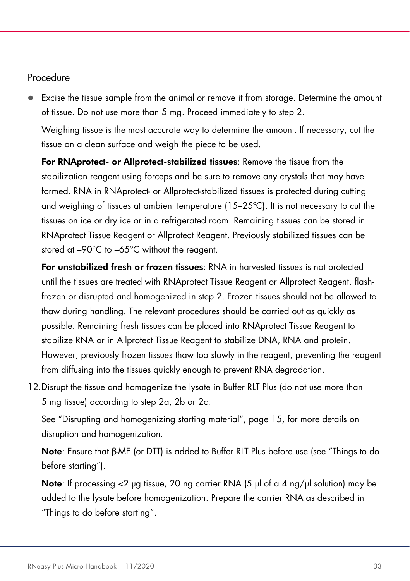#### Procedure

 Excise the tissue sample from the animal or remove it from storage. Determine the amount of tissue. Do not use more than 5 mg. Proceed immediately to step 2.

Weighing tissue is the most accurate way to determine the amount. If necessary, cut the tissue on a clean surface and weigh the piece to be used.

For RNAprotect- or Allprotect-stabilized tissues: Remove the tissue from the stabilization reagent using forceps and be sure to remove any crystals that may have formed. RNA in RNAprotect- or Allprotect-stabilized tissues is protected during cutting and weighing of tissues at ambient temperature (15–25ºC). It is not necessary to cut the tissues on ice or dry ice or in a refrigerated room. Remaining tissues can be stored in RNAprotect Tissue Reagent or Allprotect Reagent. Previously stabilized tissues can be stored at –90°C to –65°C without the reagent.

For unstabilized fresh or frozen tissues: RNA in harvested tissues is not protected until the tissues are treated with RNAprotect Tissue Reagent or Allprotect Reagent, flashfrozen or disrupted and homogenized in step 2. Frozen tissues should not be allowed to thaw during handling. The relevant procedures should be carried out as quickly as possible. Remaining fresh tissues can be placed into RNAprotect Tissue Reagent to stabilize RNA or in Allprotect Tissue Reagent to stabilize DNA, RNA and protein. However, previously frozen tissues thaw too slowly in the reagent, preventing the reagent from diffusing into the tissues quickly enough to prevent RNA degradation.

12.Disrupt the tissue and homogenize the lysate in Buffer RLT Plus (do not use more than 5 mg tissue) according to step 2a, 2b or 2c.

See "Disrupting and homogenizing starting material", page 15, for more details on disruption and homogenization.

Note: Ensure that β-ME (or DTT) is added to Buffer RLT Plus before use (see "Things to do before starting").

**Note:** If processing  $\lt 2$  µg tissue, 20 ng carrier RNA (5 µl of a 4 ng/µl solution) may be added to the lysate before homogenization. Prepare the carrier RNA as described in "Things to do before starting".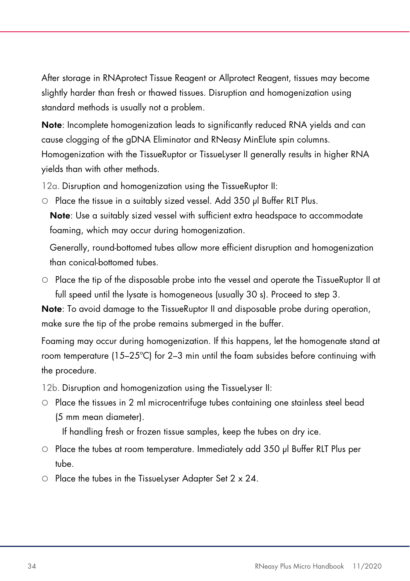After storage in RNAprotect Tissue Reagent or Allprotect Reagent, tissues may become slightly harder than fresh or thawed tissues. Disruption and homogenization using standard methods is usually not a problem.

Note: Incomplete homogenization leads to significantly reduced RNA yields and can cause clogging of the gDNA Eliminator and RNeasy MinElute spin columns. Homogenization with the TissueRuptor or TissueLyser II generally results in higher RNA yields than with other methods.

12a. Disruption and homogenization using the TissueRuptor II:

○ Place the tissue in a suitably sized vessel. Add 350 µl Buffer RLT Plus.

Note: Use a suitably sized vessel with sufficient extra headspace to accommodate foaming, which may occur during homogenization.

Generally, round-bottomed tubes allow more efficient disruption and homogenization than conical-bottomed tubes.

 $\circ$  Place the tip of the disposable probe into the vessel and operate the TissueRuptor II at full speed until the lysate is homogeneous (usually 30 s). Proceed to step 3.

Note: To avoid damage to the TissueRuptor II and disposable probe during operation, make sure the tip of the probe remains submerged in the buffer.

Foaming may occur during homogenization. If this happens, let the homogenate stand at room temperature (15–25ºC) for 2–3 min until the foam subsides before continuing with the procedure.

12b. Disruption and homogenization using the TissueLyser II:

 Place the tissues in 2 ml microcentrifuge tubes containing one stainless steel bead (5 mm mean diameter).

If handling fresh or frozen tissue samples, keep the tubes on dry ice.

- Place the tubes at room temperature. Immediately add 350 µl Buffer RLT Plus per tube.
- $\circ$  Place the tubes in the TissueLyser Adapter Set 2 x 24.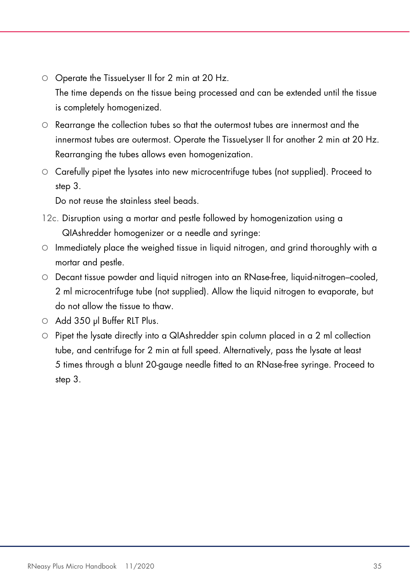- O Operate the TissueLyser II for 2 min at 20 Hz. The time depends on the tissue being processed and can be extended until the tissue is completely homogenized.
- $\circ$  Rearrange the collection tubes so that the outermost tubes are innermost and the innermost tubes are outermost. Operate the TissueLyser II for another 2 min at 20 Hz. Rearranging the tubes allows even homogenization.
- Carefully pipet the lysates into new microcentrifuge tubes (not supplied). Proceed to step 3.

Do not reuse the stainless steel beads.

- 12c. Disruption using a mortar and pestle followed by homogenization using a QIAshredder homogenizer or a needle and syringe:
- $\circ$  Immediately place the weighed tissue in liquid nitrogen, and grind thoroughly with a mortar and pestle.
- Decant tissue powder and liquid nitrogen into an RNase-free, liquid-nitrogen–cooled, 2 ml microcentrifuge tube (not supplied). Allow the liquid nitrogen to evaporate, but do not allow the tissue to thaw.
- Add 350 ul Buffer RLT Plus.
- $\circ$  Pipet the lysate directly into a QIAshredder spin column placed in a 2 ml collection tube, and centrifuge for 2 min at full speed. Alternatively, pass the lysate at least 5 times through a blunt 20-gauge needle fitted to an RNase-free syringe. Proceed to step 3.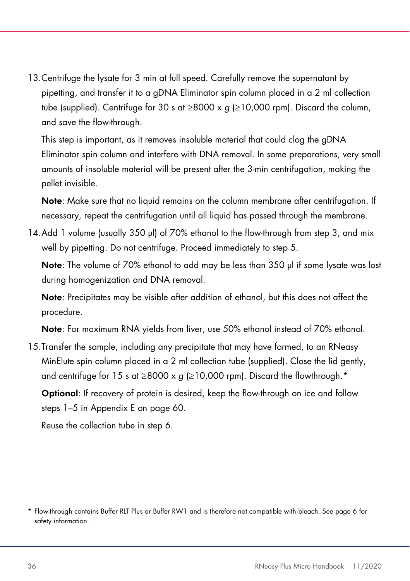13.Centrifuge the lysate for 3 min at full speed. Carefully remove the supernatant by pipetting, and transfer it to a gDNA Eliminator spin column placed in a 2 ml collection tube (supplied). Centrifuge for 30 s at  $\geq$ 8000 x g ( $\geq$ 10,000 rpm). Discard the column, and save the flow-through.

This step is important, as it removes insoluble material that could clog the gDNA Eliminator spin column and interfere with DNA removal. In some preparations, very small amounts of insoluble material will be present after the 3-min centrifugation, making the pellet invisible.

Note: Make sure that no liquid remains on the column membrane after centrifugation. If necessary, repeat the centrifugation until all liquid has passed through the membrane.

14.Add 1 volume (usually 350 µl) of 70% ethanol to the flow-through from step 3, and mix well by pipetting. Do not centrifuge. Proceed immediately to step 5.

Note: The volume of 70% ethanol to add may be less than 350 µl if some lysate was lost during homogenization and DNA removal.

Note: Precipitates may be visible after addition of ethanol, but this does not affect the procedure.

Note: For maximum RNA yields from liver, use 50% ethanol instead of 70% ethanol.

15.Transfer the sample, including any precipitate that may have formed, to an RNeasy MinElute spin column placed in a 2 ml collection tube (supplied). Close the lid gently, and centrifuge for 15 s at ≥8000 x g (≥10,000 rpm). Discard the flowthrough.\*

Optional: If recovery of protein is desired, keep the flow-through on ice and follow steps 1–5 in Appendix E on page 60.

Reuse the collection tube in step 6.

<sup>\*</sup> Flow-through contains Buffer RLT Plus or Buffer RW1 and is therefore not compatible with bleach. See page 6 for safety information.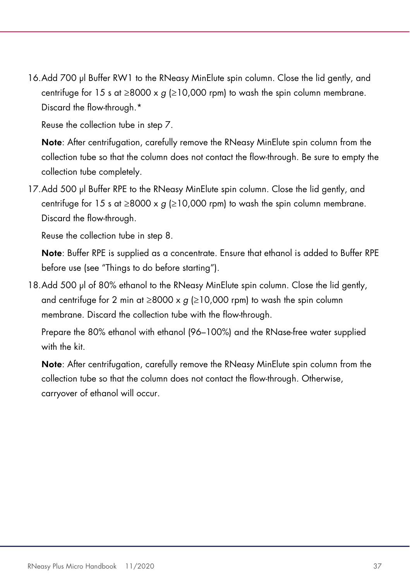16.Add 700 µl Buffer RW1 to the RNeasy MinElute spin column. Close the lid gently, and centrifuge for 15 s at  $\geq$ 8000 x q ( $\geq$ 10,000 rpm) to wash the spin column membrane. Discard the flow-through.\*

Reuse the collection tube in step 7.

Note: After centrifugation, carefully remove the RNeasy MinElute spin column from the collection tube so that the column does not contact the flow-through. Be sure to empty the collection tube completely.

17.Add 500 µl Buffer RPE to the RNeasy MinElute spin column. Close the lid gently, and centrifuge for 15 s at  $\geq$ 8000 x g ( $\geq$ 10,000 rpm) to wash the spin column membrane. Discard the flow-through.

Reuse the collection tube in step 8.

Note: Buffer RPE is supplied as a concentrate. Ensure that ethanol is added to Buffer RPE before use (see "Things to do before starting").

18.Add 500 µl of 80% ethanol to the RNeasy MinElute spin column. Close the lid gently, and centrifuge for 2 min at  $\geq 8000 \times g$  ( $\geq 10,000$  rpm) to wash the spin column membrane. Discard the collection tube with the flow-through.

Prepare the 80% ethanol with ethanol (96–100%) and the RNase-free water supplied with the kit.

Note: After centrifugation, carefully remove the RNeasy MinElute spin column from the collection tube so that the column does not contact the flow-through. Otherwise, carryover of ethanol will occur.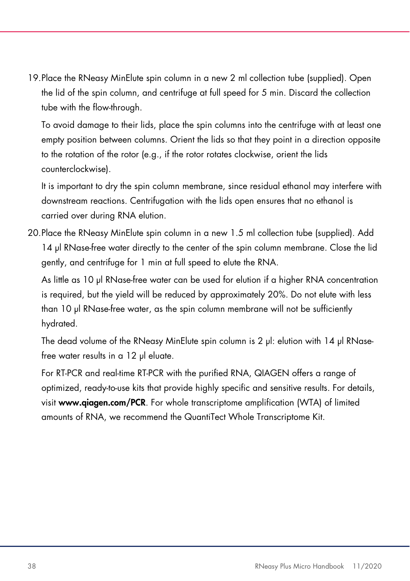19.Place the RNeasy MinElute spin column in a new 2 ml collection tube (supplied). Open the lid of the spin column, and centrifuge at full speed for 5 min. Discard the collection tube with the flow-through.

To avoid damage to their lids, place the spin columns into the centrifuge with at least one empty position between columns. Orient the lids so that they point in a direction opposite to the rotation of the rotor (e.g., if the rotor rotates clockwise, orient the lids counterclockwise).

It is important to dry the spin column membrane, since residual ethanol may interfere with downstream reactions. Centrifugation with the lids open ensures that no ethanol is carried over during RNA elution.

20.Place the RNeasy MinElute spin column in a new 1.5 ml collection tube (supplied). Add 14 µl RNase-free water directly to the center of the spin column membrane. Close the lid gently, and centrifuge for 1 min at full speed to elute the RNA.

As little as 10 µl RNase-free water can be used for elution if a higher RNA concentration is required, but the yield will be reduced by approximately 20%. Do not elute with less than 10 µl RNase-free water, as the spin column membrane will not be sufficiently hydrated.

The dead volume of the RNeasy MinElute spin column is 2 µl: elution with 14 µl RNasefree water results in a 12 µl eluate.

For RT-PCR and real-time RT-PCR with the purified RNA, QIAGEN offers a range of optimized, ready-to-use kits that provide highly specific and sensitive results. For details, visit www.qiagen.com/PCR. For whole transcriptome amplification (WTA) of limited amounts of RNA, we recommend the QuantiTect Whole Transcriptome Kit.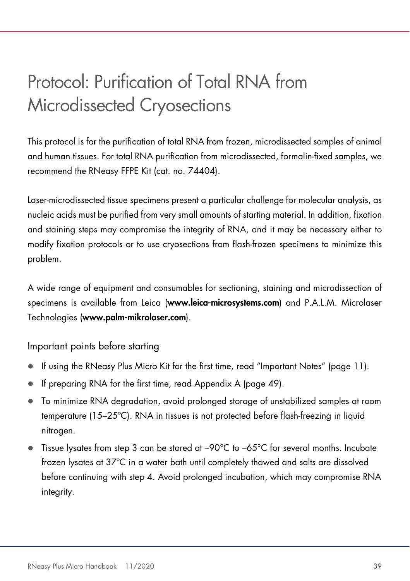### Protocol: Purification of Total RNA from Microdissected Cryosections

This protocol is for the purification of total RNA from frozen, microdissected samples of animal and human tissues. For total RNA purification from microdissected, formalin-fixed samples, we recommend the RNeasy FFPE Kit (cat. no. 74404).

Laser-microdissected tissue specimens present a particular challenge for molecular analysis, as nucleic acids must be purified from very small amounts of starting material. In addition, fixation and staining steps may compromise the integrity of RNA, and it may be necessary either to modify fixation protocols or to use cryosections from flash-frozen specimens to minimize this problem.

A wide range of equipment and consumables for sectioning, staining and microdissection of specimens is available from Leica (www.leica-microsystems.com) and P.A.L.M. Microlaser Technologies (www.palm-mikrolaser.com).

Important points before starting

- If using the RNeasy Plus Micro Kit for the first time, read "Important Notes" (page 11).
- If preparing RNA for the first time, read Appendix A (page 49).
- To minimize RNA degradation, avoid prolonged storage of unstabilized samples at room temperature (15–25ºC). RNA in tissues is not protected before flash-freezing in liquid nitrogen.
- Tissue lysates from step 3 can be stored at –90°C to –65°C for several months. Incubate frozen lysates at 37ºC in a water bath until completely thawed and salts are dissolved before continuing with step 4. Avoid prolonged incubation, which may compromise RNA integrity.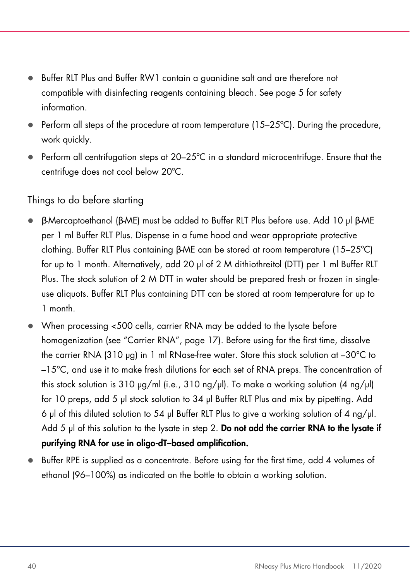- Buffer RLT Plus and Buffer RW1 contain a guanidine salt and are therefore not compatible with disinfecting reagents containing bleach. See page 5 for safety information.
- $\bullet$  Perform all steps of the procedure at room temperature (15–25 $\degree$ C). During the procedure, work quickly.
- Perform all centrifugation steps at 20–25ºC in a standard microcentrifuge. Ensure that the centrifuge does not cool below 20ºC.

#### Things to do before starting

- β-Mercaptoethanol (β-ME) must be added to Buffer RLT Plus before use. Add 10 µl β-ME per 1 ml Buffer RLT Plus. Dispense in a fume hood and wear appropriate protective clothing. Buffer RLT Plus containing β-ME can be stored at room temperature (15–25ºC) for up to 1 month. Alternatively, add 20 µl of 2 M dithiothreitol (DTT) per 1 ml Buffer RLT Plus. The stock solution of 2 M DTT in water should be prepared fresh or frozen in singleuse aliquots. Buffer RLT Plus containing DTT can be stored at room temperature for up to 1 month.
- When processing <500 cells, carrier RNA may be added to the lysate before homogenization (see "Carrier RNA", page 17). Before using for the first time, dissolve the carrier RNA (310 µg) in 1 ml RNase-free water. Store this stock solution at -30°C to –15°C, and use it to make fresh dilutions for each set of RNA preps. The concentration of this stock solution is 310  $\mu$ g/ml (i.e., 310 ng/ $\mu$ l). To make a working solution (4 ng/ $\mu$ l) for 10 preps, add 5 µl stock solution to 34 µl Buffer RLT Plus and mix by pipetting. Add 6 µl of this diluted solution to 54 µl Buffer RLT Plus to give a working solution of 4 ng/µl. Add 5  $\mu$  of this solution to the lysate in step 2. Do not add the carrier RNA to the lysate if purifying RNA for use in oligo-dT–based amplification.
- Buffer RPE is supplied as a concentrate. Before using for the first time, add 4 volumes of ethanol (96–100%) as indicated on the bottle to obtain a working solution.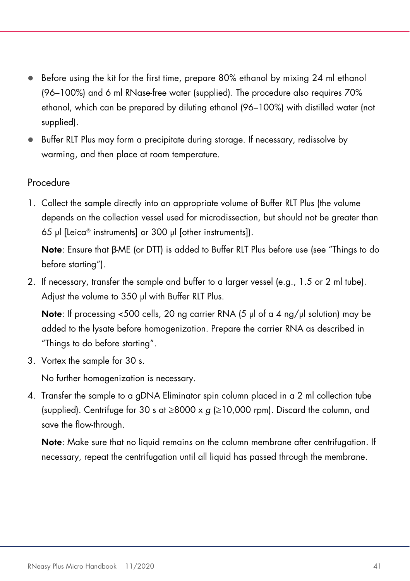- Before using the kit for the first time, prepare 80% ethanol by mixing 24 ml ethanol (96–100%) and 6 ml RNase-free water (supplied). The procedure also requires 70% ethanol, which can be prepared by diluting ethanol (96–100%) with distilled water (not supplied).
- Buffer RLT Plus may form a precipitate during storage. If necessary, redissolve by warming, and then place at room temperature.

#### Procedure

1. Collect the sample directly into an appropriate volume of Buffer RLT Plus (the volume depends on the collection vessel used for microdissection, but should not be greater than 65 µl [Leica® instruments] or 300 µl [other instruments]).

Note: Ensure that β-ME (or DTT) is added to Buffer RLT Plus before use (see "Things to do before starting").

2. If necessary, transfer the sample and buffer to a larger vessel (e.g., 1.5 or 2 ml tube). Adjust the volume to 350 µl with Buffer RLT Plus.

**Note:** If processing  $\leq$ 500 cells, 20 ng carrier RNA (5  $\mu$ ) of a 4 ng/ $\mu$  solution) may be added to the lysate before homogenization. Prepare the carrier RNA as described in "Things to do before starting".

3. Vortex the sample for 30 s.

No further homogenization is necessary.

4. Transfer the sample to a gDNA Eliminator spin column placed in a 2 ml collection tube (supplied). Centrifuge for 30 s at ≥8000 x  $g$  (≥10,000 rpm). Discard the column, and save the flow-through.

Note: Make sure that no liquid remains on the column membrane after centrifugation. If necessary, repeat the centrifugation until all liquid has passed through the membrane.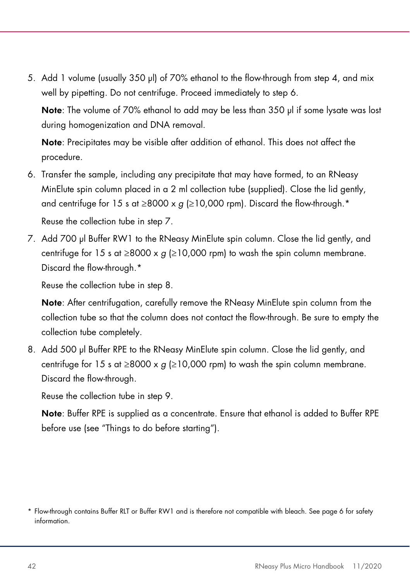5. Add 1 volume (usually 350 µl) of 70% ethanol to the flow-through from step 4, and mix well by pipetting. Do not centrifuge. Proceed immediately to step 6.

Note: The volume of 70% ethanol to add may be less than 350 ul if some lysate was lost during homogenization and DNA removal.

Note: Precipitates may be visible after addition of ethanol. This does not affect the procedure.

- 6. Transfer the sample, including any precipitate that may have formed, to an RNeasy MinElute spin column placed in a 2 ml collection tube (supplied). Close the lid gently, and centrifuge for 15 s at  $\geq$ 8000 x g ( $\geq$ 10,000 rpm). Discard the flow-through.<sup>\*</sup> Reuse the collection tube in step 7.
- 7. Add 700 µl Buffer RW1 to the RNeasy MinElute spin column. Close the lid gently, and centrifuge for 15 s at  $\geq$ 8000 x q ( $\geq$ 10,000 rpm) to wash the spin column membrane. Discard the flow-through.\*

Reuse the collection tube in step 8.

Note: After centrifugation, carefully remove the RNeasy MinElute spin column from the collection tube so that the column does not contact the flow-through. Be sure to empty the collection tube completely.

8. Add 500 µl Buffer RPE to the RNeasy MinElute spin column. Close the lid gently, and centrifuge for 15 s at  $\geq$ 8000 x g ( $\geq$ 10,000 rpm) to wash the spin column membrane. Discard the flow-through.

Reuse the collection tube in step 9.

Note: Buffer RPE is supplied as a concentrate. Ensure that ethanol is added to Buffer RPE before use (see "Things to do before starting").

<sup>\*</sup> Flow-through contains Buffer RLT or Buffer RW1 and is therefore not compatible with bleach. See page 6 for safety information.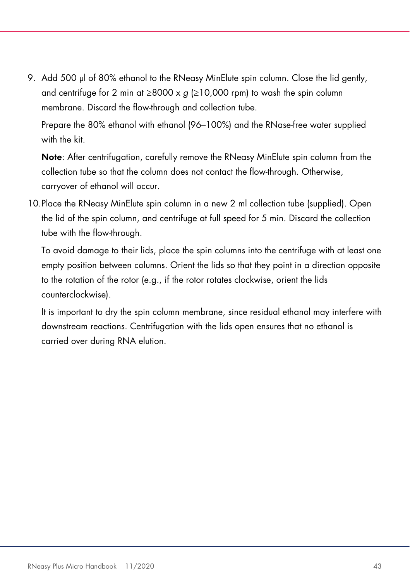9. Add 500 µl of 80% ethanol to the RNeasy MinElute spin column. Close the lid gently, and centrifuge for 2 min at  $\geq 8000 \times g$  ( $\geq 10,000$  rpm) to wash the spin column membrane. Discard the flow-through and collection tube.

Prepare the 80% ethanol with ethanol (96–100%) and the RNase-free water supplied with the kit.

Note: After centrifugation, carefully remove the RNeasy MinElute spin column from the collection tube so that the column does not contact the flow-through. Otherwise, carryover of ethanol will occur.

10.Place the RNeasy MinElute spin column in a new 2 ml collection tube (supplied). Open the lid of the spin column, and centrifuge at full speed for 5 min. Discard the collection tube with the flow-through.

To avoid damage to their lids, place the spin columns into the centrifuge with at least one empty position between columns. Orient the lids so that they point in a direction opposite to the rotation of the rotor (e.g., if the rotor rotates clockwise, orient the lids counterclockwise).

It is important to dry the spin column membrane, since residual ethanol may interfere with downstream reactions. Centrifugation with the lids open ensures that no ethanol is carried over during RNA elution.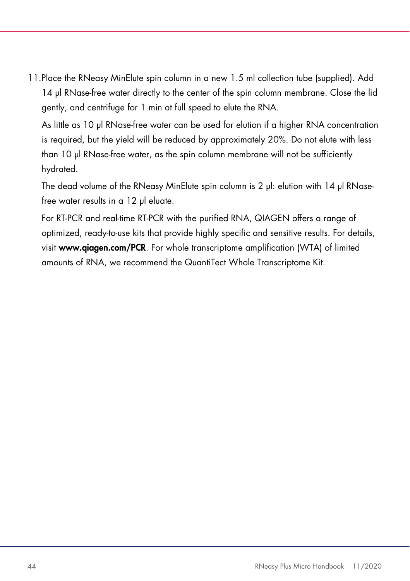11.Place the RNeasy MinElute spin column in a new 1.5 ml collection tube (supplied). Add 14 µl RNase-free water directly to the center of the spin column membrane. Close the lid gently, and centrifuge for 1 min at full speed to elute the RNA.

As little as 10 µl RNase-free water can be used for elution if a higher RNA concentration is required, but the yield will be reduced by approximately 20%. Do not elute with less than 10 µl RNase-free water, as the spin column membrane will not be sufficiently hydrated.

The dead volume of the RNeasy MinElute spin column is 2 µl: elution with 14 µl RNasefree water results in a 12 µl eluate.

For RT-PCR and real-time RT-PCR with the purified RNA, QIAGEN offers a range of optimized, ready-to-use kits that provide highly specific and sensitive results. For details, visit www.qiagen.com/PCR. For whole transcriptome amplification (WTA) of limited amounts of RNA, we recommend the QuantiTect Whole Transcriptome Kit.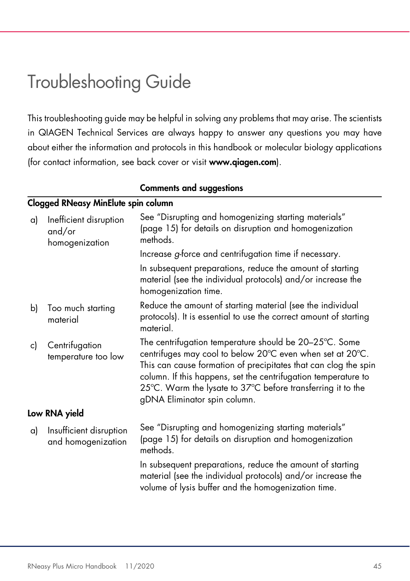### Troubleshooting Guide

This troubleshooting guide may be helpful in solving any problems that may arise. The scientists in QIAGEN Technical Services are always happy to answer any questions you may have about either the information and protocols in this handbook or molecular biology applications (for contact information, see back cover or visit www.qiagen.com).

#### Comments and suggestions

#### Clogged RNeasy MinElute spin column

| a) | Inefficient disruption<br>and/or<br>homogenization | See "Disrupting and homogenizing starting materials"<br>(page 15) for details on disruption and homogenization<br>methods.                                                                                                                                                                                                                              |
|----|----------------------------------------------------|---------------------------------------------------------------------------------------------------------------------------------------------------------------------------------------------------------------------------------------------------------------------------------------------------------------------------------------------------------|
|    |                                                    | Increase g-force and centrifugation time if necessary.                                                                                                                                                                                                                                                                                                  |
|    |                                                    | In subsequent preparations, reduce the amount of starting<br>material (see the individual protocols) and/or increase the<br>homogenization time.                                                                                                                                                                                                        |
| b) | Too much starting<br>material                      | Reduce the amount of starting material (see the individual<br>protocols). It is essential to use the correct amount of starting<br>material.                                                                                                                                                                                                            |
| c) | Centrifugation<br>temperature too low              | The centrifugation temperature should be 20-25°C. Some<br>centrifuges may cool to below 20°C even when set at 20°C.<br>This can cause formation of precipitates that can clog the spin<br>column. If this happens, set the centrifugation temperature to<br>25°C. Warm the lysate to 37°C before transferring it to the<br>gDNA Eliminator spin column. |
|    | Low RNA yield                                      |                                                                                                                                                                                                                                                                                                                                                         |
| a) | Insufficient disruption<br>and homogenization      | See "Disrupting and homogenizing starting materials"<br>(page 15) for details on disruption and homogenization<br>methods.                                                                                                                                                                                                                              |
|    |                                                    | In subsequent preparations, reduce the amount of starting<br>material (see the individual protocols) and/or increase the<br>volume of lysis buffer and the homogenization time.                                                                                                                                                                         |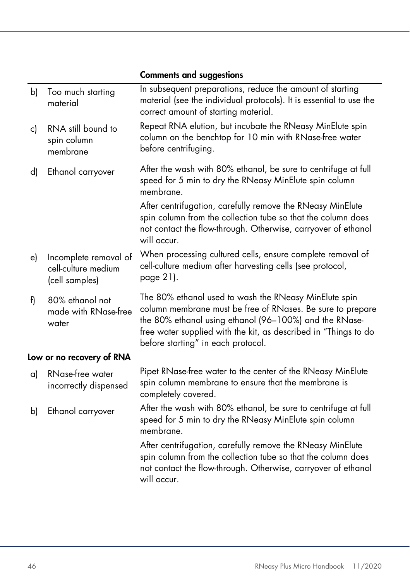|              |                                                                | <b>Comments and suggestions</b>                                                                                                                                                                                                                                                        |
|--------------|----------------------------------------------------------------|----------------------------------------------------------------------------------------------------------------------------------------------------------------------------------------------------------------------------------------------------------------------------------------|
| $\mathsf{b}$ | Too much starting<br>material                                  | In subsequent preparations, reduce the amount of starting<br>material (see the individual protocols). It is essential to use the<br>correct amount of starting material.                                                                                                               |
| c)           | RNA still bound to<br>spin column<br>membrane                  | Repeat RNA elution, but incubate the RNeasy MinElute spin<br>column on the benchtop for 10 min with RNase-free water<br>before centrifuging.                                                                                                                                           |
| d)           | Ethanol carryover                                              | After the wash with 80% ethanol, be sure to centrifuge at full<br>speed for 5 min to dry the RNeasy MinElute spin column<br>membrane.                                                                                                                                                  |
|              |                                                                | After centrifugation, carefully remove the RNeasy MinElute<br>spin column from the collection tube so that the column does<br>not contact the flow-through. Otherwise, carryover of ethanol<br>will occur.                                                                             |
| e)           | Incomplete removal of<br>cell-culture medium<br>(cell samples) | When processing cultured cells, ensure complete removal of<br>cell-culture medium after harvesting cells (see protocol,<br>page 21).                                                                                                                                                   |
| f)           | 80% ethanol not<br>made with RNase-free<br>water               | The 80% ethanol used to wash the RNeasy MinElute spin<br>column membrane must be free of RNases. Be sure to prepare<br>the 80% ethanol using ethanol (96-100%) and the RNase-<br>free water supplied with the kit, as described in "Things to do<br>before starting" in each protocol. |
|              | Low or no recovery of RNA                                      |                                                                                                                                                                                                                                                                                        |
| a)           | RNase-free water<br>incorrectly dispensed                      | Pipet RNase-free water to the center of the RNeasy MinElute<br>spin column membrane to ensure that the membrane is<br>completely covered.                                                                                                                                              |
| b)           | Ethanol carryover                                              | After the wash with 80% ethanol, be sure to centrifuge at full<br>speed for 5 min to dry the RNeasy MinElute spin column<br>membrane.                                                                                                                                                  |
|              |                                                                | After centrifugation, carefully remove the RNeasy MinElute<br>spin column from the collection tube so that the column does<br>not contact the flow-through. Otherwise, carryover of ethanol<br>will occur.                                                                             |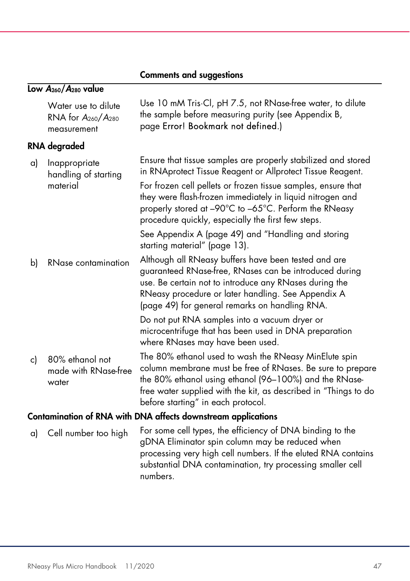|                                                               |                                                                 | communis ana suggusnons                                                                                                                                                                                                                                                                |  |
|---------------------------------------------------------------|-----------------------------------------------------------------|----------------------------------------------------------------------------------------------------------------------------------------------------------------------------------------------------------------------------------------------------------------------------------------|--|
|                                                               | Low $A_{260}/A_{280}$ value                                     |                                                                                                                                                                                                                                                                                        |  |
|                                                               | Water use to dilute<br>RNA for $A_{260}/A_{280}$<br>measurement | Use 10 mM Tris Cl, pH 7.5, not RNase-free water, to dilute<br>the sample before measuring purity (see Appendix B,<br>page Error! Bookmark not defined.)                                                                                                                                |  |
|                                                               | <b>RNA</b> degraded                                             |                                                                                                                                                                                                                                                                                        |  |
| a)                                                            | Inappropriate<br>handling of starting<br>material               | Ensure that tissue samples are properly stabilized and stored<br>in RNAprotect Tissue Reagent or Allprotect Tissue Reagent.<br>For frozen cell pellets or frozen tissue samples, ensure that                                                                                           |  |
|                                                               |                                                                 | they were flash-frozen immediately in liquid nitrogen and<br>properly stored at -90°C to -65°C. Perform the RNeasy<br>procedure quickly, especially the first few steps.                                                                                                               |  |
|                                                               |                                                                 | See Appendix A (page 49) and "Handling and storing<br>starting material" (page 13).                                                                                                                                                                                                    |  |
| b)                                                            | RNase contamination                                             | Although all RNeasy buffers have been tested and are<br>guaranteed RNase-free, RNases can be introduced during<br>use. Be certain not to introduce any RNases during the<br>RNeasy procedure or later handling. See Appendix A<br>(page 49) for general remarks on handling RNA.       |  |
|                                                               |                                                                 | Do not put RNA samples into a vacuum dryer or<br>microcentrifuge that has been used in DNA preparation<br>where RNases may have been used.                                                                                                                                             |  |
| c)                                                            | 80% ethanol not<br>made with RNase-free<br>water                | The 80% ethanol used to wash the RNeasy MinElute spin<br>column membrane must be free of RNases. Be sure to prepare<br>the 80% ethanol using ethanol (96-100%) and the RNase-<br>free water supplied with the kit, as described in "Things to do<br>before starting" in each protocol. |  |
| Contamination of RNA with DNA affects downstream applications |                                                                 |                                                                                                                                                                                                                                                                                        |  |
| a)                                                            | Cell number too high                                            | For some cell types, the efficiency of DNA binding to the<br>gDNA Eliminator spin column may be reduced when<br>processing very high cell numbers. If the eluted RNA contains<br>substantial DNA contamination, try processing smaller cell<br>numbers.                                |  |

### Comments and suggestions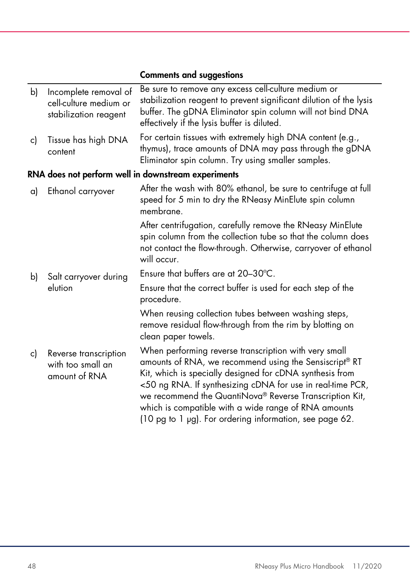|              |                                                                          | <b>Comments and suggestions</b>                                                                                                                                                                                                                                                                                                                                                                                         |  |
|--------------|--------------------------------------------------------------------------|-------------------------------------------------------------------------------------------------------------------------------------------------------------------------------------------------------------------------------------------------------------------------------------------------------------------------------------------------------------------------------------------------------------------------|--|
| $\mathsf{b}$ | Incomplete removal of<br>cell-culture medium or<br>stabilization reagent | Be sure to remove any excess cell-culture medium or<br>stabilization reagent to prevent significant dilution of the lysis<br>buffer. The gDNA Eliminator spin column will not bind DNA<br>effectively if the lysis buffer is diluted.                                                                                                                                                                                   |  |
| c)           | Tissue has high DNA<br>content                                           | For certain tissues with extremely high DNA content (e.g.,<br>thymus), trace amounts of DNA may pass through the gDNA<br>Eliminator spin column. Try using smaller samples.                                                                                                                                                                                                                                             |  |
|              | RNA does not perform well in downstream experiments                      |                                                                                                                                                                                                                                                                                                                                                                                                                         |  |
| a)           | Ethanol carryover                                                        | After the wash with 80% ethanol, be sure to centrifuge at full<br>speed for 5 min to dry the RNeasy MinElute spin column<br>membrane.                                                                                                                                                                                                                                                                                   |  |
|              |                                                                          | After centrifugation, carefully remove the RNeasy MinElute<br>spin column from the collection tube so that the column does<br>not contact the flow-through. Otherwise, carryover of ethanol<br>will occur.                                                                                                                                                                                                              |  |
| b)           | Salt carryover during<br>elution                                         | Ensure that buffers are at $20-30^{\circ}$ C.                                                                                                                                                                                                                                                                                                                                                                           |  |
|              |                                                                          | Ensure that the correct buffer is used for each step of the<br>procedure.                                                                                                                                                                                                                                                                                                                                               |  |
|              |                                                                          | When reusing collection tubes between washing steps,<br>remove residual flow-through from the rim by blotting on<br>clean paper towels.                                                                                                                                                                                                                                                                                 |  |
| c)           | Reverse transcription<br>with too small an<br>amount of RNA              | When performing reverse transcription with very small<br>amounts of RNA, we recommend using the Sensiscript® RT<br>Kit, which is specially designed for cDNA synthesis from<br><50 ng RNA. If synthesizing cDNA for use in real-time PCR,<br>we recommend the QuantiNova® Reverse Transcription Kit,<br>which is compatible with a wide range of RNA amounts<br>(10 pg to 1 µg). For ordering information, see page 62. |  |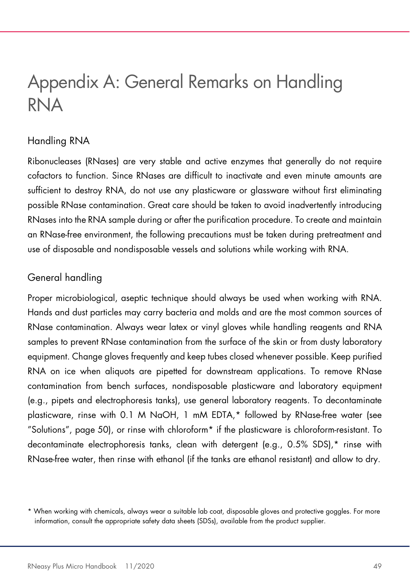### Appendix A: General Remarks on Handling RNA

### Handling RNA

Ribonucleases (RNases) are very stable and active enzymes that generally do not require cofactors to function. Since RNases are difficult to inactivate and even minute amounts are sufficient to destroy RNA, do not use any plasticware or glassware without first eliminating possible RNase contamination. Great care should be taken to avoid inadvertently introducing RNases into the RNA sample during or after the purification procedure. To create and maintain an RNase-free environment, the following precautions must be taken during pretreatment and use of disposable and nondisposable vessels and solutions while working with RNA.

### General handling

Proper microbiological, aseptic technique should always be used when working with RNA. Hands and dust particles may carry bacteria and molds and are the most common sources of RNase contamination. Always wear latex or vinyl gloves while handling reagents and RNA samples to prevent RNase contamination from the surface of the skin or from dusty laboratory equipment. Change gloves frequently and keep tubes closed whenever possible. Keep purified RNA on ice when aliquots are pipetted for downstream applications. To remove RNase contamination from bench surfaces, nondisposable plasticware and laboratory equipment (e.g., pipets and electrophoresis tanks), use general laboratory reagents. To decontaminate plasticware, rinse with 0.1 M NaOH, 1 mM EDTA,\* followed by RNase-free water (see "Solutions", page 50), or rinse with chloroform\* if the plasticware is chloroform-resistant. To decontaminate electrophoresis tanks, clean with detergent (e.g., 0.5% SDS),\* rinse with RNase-free water, then rinse with ethanol (if the tanks are ethanol resistant) and allow to dry.

<sup>\*</sup> When working with chemicals, always wear a suitable lab coat, disposable gloves and protective goggles. For more information, consult the appropriate safety data sheets (SDSs), available from the product supplier.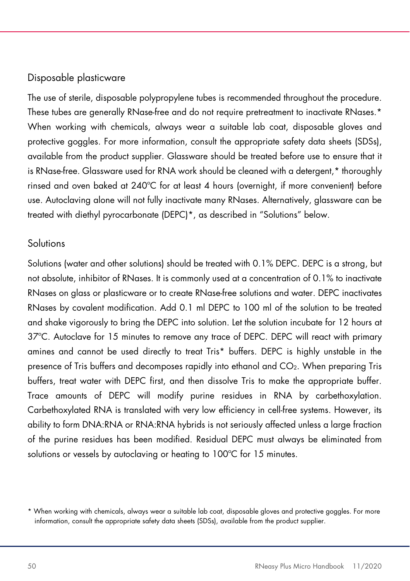### Disposable plasticware

The use of sterile, disposable polypropylene tubes is recommended throughout the procedure. These tubes are generally RNase-free and do not require pretreatment to inactivate RNases.\* When working with chemicals, always wear a suitable lab coat, disposable gloves and protective goggles. For more information, consult the appropriate safety data sheets (SDSs), available from the product supplier. Glassware should be treated before use to ensure that it is RNase-free. Glassware used for RNA work should be cleaned with a detergent,\* thoroughly rinsed and oven baked at 240ºC for at least 4 hours (overnight, if more convenient) before use. Autoclaving alone will not fully inactivate many RNases. Alternatively, glassware can be treated with diethyl pyrocarbonate (DEPC)\*, as described in "Solutions" below.

#### Solutions

Solutions (water and other solutions) should be treated with 0.1% DEPC. DEPC is a strong, but not absolute, inhibitor of RNases. It is commonly used at a concentration of 0.1% to inactivate RNases on glass or plasticware or to create RNase-free solutions and water. DEPC inactivates RNases by covalent modification. Add 0.1 ml DEPC to 100 ml of the solution to be treated and shake vigorously to bring the DEPC into solution. Let the solution incubate for 12 hours at 37ºC. Autoclave for 15 minutes to remove any trace of DEPC. DEPC will react with primary amines and cannot be used directly to treat Tris\* buffers. DEPC is highly unstable in the presence of Tris buffers and decomposes rapidly into ethanol and CO2. When preparing Tris buffers, treat water with DEPC first, and then dissolve Tris to make the appropriate buffer. Trace amounts of DEPC will modify purine residues in RNA by carbethoxylation. Carbethoxylated RNA is translated with very low efficiency in cell-free systems. However, its ability to form DNA:RNA or RNA:RNA hybrids is not seriously affected unless a large fraction of the purine residues has been modified. Residual DEPC must always be eliminated from solutions or vessels by autoclaving or heating to 100°C for 15 minutes.

<sup>\*</sup> When working with chemicals, always wear a suitable lab coat, disposable gloves and protective goggles. For more information, consult the appropriate safety data sheets (SDSs), available from the product supplier.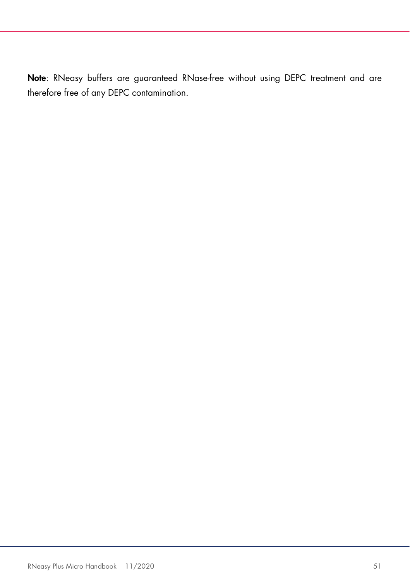Note: RNeasy buffers are guaranteed RNase-free without using DEPC treatment and are therefore free of any DEPC contamination.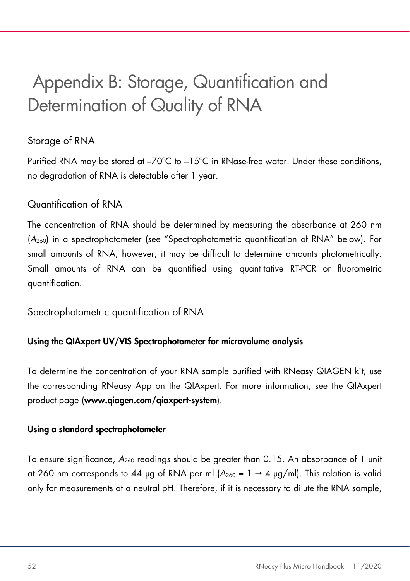### Appendix B: Storage, Quantification and Determination of Quality of RNA

### Storage of RNA

Purified RNA may be stored at –70ºC to –15ºC in RNase-free water. Under these conditions, no degradation of RNA is detectable after 1 year.

### Quantification of RNA

The concentration of RNA should be determined by measuring the absorbance at 260 nm (A260) in a spectrophotometer (see "Spectrophotometric quantification of RNA" below). For small amounts of RNA, however, it may be difficult to determine amounts photometrically. Small amounts of RNA can be quantified using quantitative RT-PCR or fluorometric quantification.

Spectrophotometric quantification of RNA

#### Using the QIAxpert UV/VIS Spectrophotometer for microvolume analysis

To determine the concentration of your RNA sample purified with RNeasy QIAGEN kit, use the corresponding RNeasy App on the QIAxpert. For more information, see the QIAxpert product page (www.qiagen.com/qiaxpert-system).

#### Using a standard spectrophotometer

To ensure significance,  $A_{260}$  readings should be greater than 0.15. An absorbance of 1 unit at 260 nm corresponds to 44 µg of RNA per ml  $(A_{260} = 1 \rightarrow 4 \text{ µg/ml})$ . This relation is valid only for measurements at a neutral pH. Therefore, if it is necessary to dilute the RNA sample,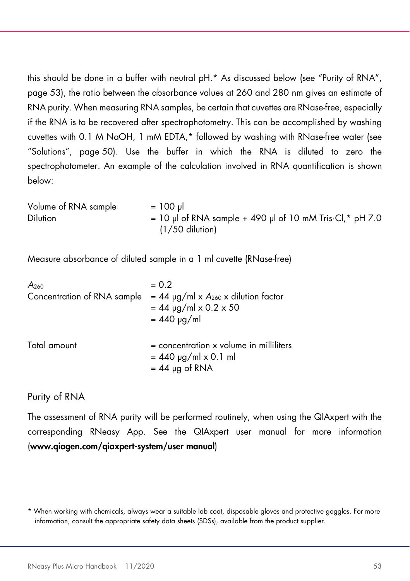this should be done in a buffer with neutral pH.\* As discussed below (see "Purity of RNA", page 53), the ratio between the absorbance values at 260 and 280 nm gives an estimate of RNA purity. When measuring RNA samples, be certain that cuvettes are RNase-free, especially if the RNA is to be recovered after spectrophotometry. This can be accomplished by washing cuvettes with 0.1 M NaOH, 1 mM EDTA,\* followed by washing with RNase-free water (see "Solutions", page 50). Use the buffer in which the RNA is diluted to zero the spectrophotometer. An example of the calculation involved in RNA quantification is shown below:

Volume of RNA sample  $= 100 \mu$ Dilution  $= 10 \text{ pl of RNA sample} + 490 \text{ pl of 10 mM Tris·Cl, * pH 7.0}$ (1/50 dilution)

Measure absorbance of diluted sample in a 1 ml cuvette (RNase-free)

| A <sub>260</sub>            | $= 0.2$                                                                                 |
|-----------------------------|-----------------------------------------------------------------------------------------|
| Concentration of RNA sample | $= 44$ µg/ml x $A_{260}$ x dilution factor<br>$= 44$ µg/ml x 0.2 x 50                   |
|                             | $= 440$ µg/ml                                                                           |
| Total amount                | $=$ concentration x volume in milliliters<br>$= 440$ µg/ml x 0.1 ml<br>$= 44$ µg of RNA |

#### Purity of RNA

The assessment of RNA purity will be performed routinely, when using the QIAxpert with the corresponding RNeasy App. See the QIAxpert user manual for more information (www.qiagen.com/qiaxpert-system/user manual)

<sup>\*</sup> When working with chemicals, always wear a suitable lab coat, disposable gloves and protective goggles. For more information, consult the appropriate safety data sheets (SDSs), available from the product supplier.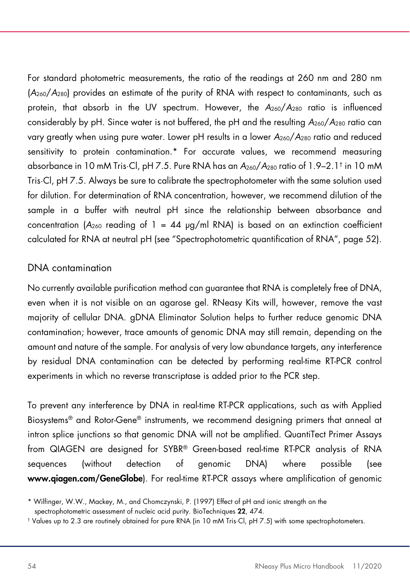For standard photometric measurements, the ratio of the readings at 260 nm and 280 nm (A260/A280) provides an estimate of the purity of RNA with respect to contaminants, such as protein, that absorb in the UV spectrum. However, the  $A_{260}/A_{280}$  ratio is influenced considerably by pH. Since water is not buffered, the pH and the resulting  $A_{260}/A_{280}$  ratio can vary greatly when using pure water. Lower pH results in a lower  $A_{260}/A_{280}$  ratio and reduced sensitivity to protein contamination.\* For accurate values, we recommend measuring absorbance in 10 mM Tris·Cl, pH 7.5. Pure RNA has an A260/A280 ratio of 1.9–2.1† in 10 mM Tris·Cl, pH 7.5. Always be sure to calibrate the spectrophotometer with the same solution used for dilution. For determination of RNA concentration, however, we recommend dilution of the sample in a buffer with neutral pH since the relationship between absorbance and concentration ( $A_{260}$  reading of 1 = 44  $\mu$ g/ml RNA) is based on an extinction coefficient calculated for RNA at neutral pH (see "Spectrophotometric quantification of RNA", page 52).

#### DNA contamination

No currently available purification method can guarantee that RNA is completely free of DNA, even when it is not visible on an agarose gel. RNeasy Kits will, however, remove the vast majority of cellular DNA. gDNA Eliminator Solution helps to further reduce genomic DNA contamination; however, trace amounts of genomic DNA may still remain, depending on the amount and nature of the sample. For analysis of very low abundance targets, any interference by residual DNA contamination can be detected by performing real-time RT-PCR control experiments in which no reverse transcriptase is added prior to the PCR step.

To prevent any interference by DNA in real-time RT-PCR applications, such as with Applied Biosystems® and Rotor-Gene® instruments, we recommend designing primers that anneal at intron splice junctions so that genomic DNA will not be amplified. QuantiTect Primer Assays from QIAGEN are designed for SYBR® Green-based real-time RT-PCR analysis of RNA sequences (without detection of genomic DNA) where possible (see www.qiagen.com/GeneGlobe). For real-time RT-PCR assays where amplification of genomic

<sup>\*</sup> Wilfinger, W.W., Mackey, M., and Chomczynski, P. (1997) Effect of pH and ionic strength on the spectrophotometric assessment of nucleic acid purity. BioTechniques 22, 474.

<sup>†</sup> Values up to 2.3 are routinely obtained for pure RNA (in 10 mM Tris·Cl, pH 7.5) with some spectrophotometers.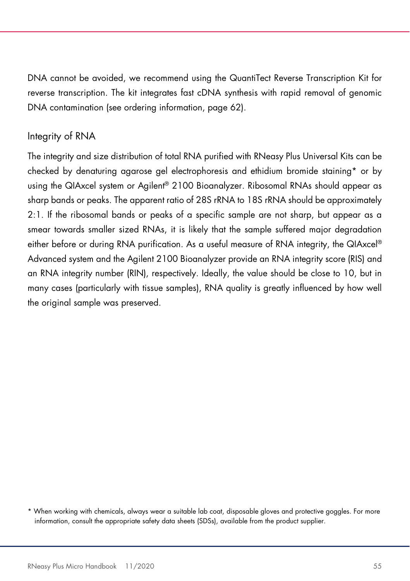DNA cannot be avoided, we recommend using the QuantiTect Reverse Transcription Kit for reverse transcription. The kit integrates fast cDNA synthesis with rapid removal of genomic DNA contamination (see ordering information, page 62).

#### Integrity of RNA

The integrity and size distribution of total RNA purified with RNeasy Plus Universal Kits can be checked by denaturing agarose gel electrophoresis and ethidium bromide staining\* or by using the QIAxcel system or Agilent® 2100 Bioanalyzer. Ribosomal RNAs should appear as sharp bands or peaks. The apparent ratio of 28S rRNA to 18S rRNA should be approximately 2:1. If the ribosomal bands or peaks of a specific sample are not sharp, but appear as a smear towards smaller sized RNAs, it is likely that the sample suffered major degradation either before or during RNA purification. As a useful measure of RNA integrity, the QIAxcel® Advanced system and the Agilent 2100 Bioanalyzer provide an RNA integrity score (RIS) and an RNA integrity number (RIN), respectively. Ideally, the value should be close to 10, but in many cases (particularly with tissue samples), RNA quality is greatly influenced by how well the original sample was preserved.

<sup>\*</sup> When working with chemicals, always wear a suitable lab coat, disposable gloves and protective goggles. For more information, consult the appropriate safety data sheets (SDSs), available from the product supplier.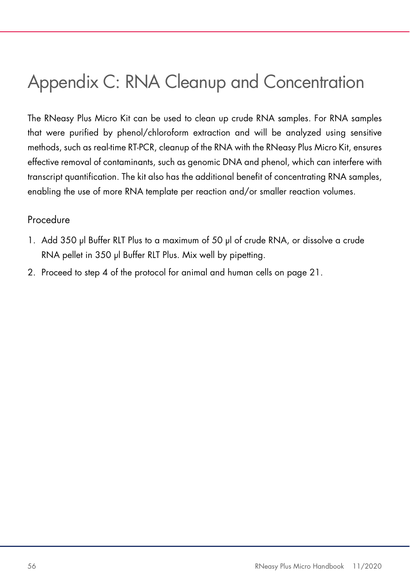### Appendix C: RNA Cleanup and Concentration

The RNeasy Plus Micro Kit can be used to clean up crude RNA samples. For RNA samples that were purified by phenol/chloroform extraction and will be analyzed using sensitive methods, such as real-time RT-PCR, cleanup of the RNA with the RNeasy Plus Micro Kit, ensures effective removal of contaminants, such as genomic DNA and phenol, which can interfere with transcript quantification. The kit also has the additional benefit of concentrating RNA samples, enabling the use of more RNA template per reaction and/or smaller reaction volumes.

#### Procedure

- 1. Add 350 µl Buffer RLT Plus to a maximum of 50 µl of crude RNA, or dissolve a crude RNA pellet in 350 µl Buffer RLT Plus. Mix well by pipetting.
- 2. Proceed to step 4 of the protocol for animal and human cells on page 21.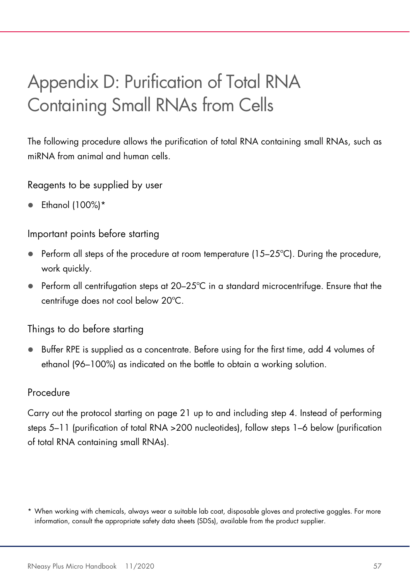### Appendix D: Purification of Total RNA Containing Small RNAs from Cells

The following procedure allows the purification of total RNA containing small RNAs, such as miRNA from animal and human cells.

Reagents to be supplied by user

 $\bullet$  Ethanol (100%)\*

#### Important points before starting

- Perform all steps of the procedure at room temperature (15–25ºC). During the procedure, work quickly.
- $\bullet$  Perform all centrifugation steps at 20–25°C in a standard microcentrifuge. Ensure that the centrifuge does not cool below 20ºC.

Things to do before starting

 $\bullet$  Buffer RPE is supplied as a concentrate. Before using for the first time, add 4 volumes of ethanol (96–100%) as indicated on the bottle to obtain a working solution.

### **Procedure**

Carry out the protocol starting on page 21 up to and including step 4. Instead of performing steps 5–11 (purification of total RNA >200 nucleotides), follow steps 1–6 below (purification of total RNA containing small RNAs).

<sup>\*</sup> When working with chemicals, always wear a suitable lab coat, disposable gloves and protective goggles. For more information, consult the appropriate safety data sheets (SDSs), available from the product supplier.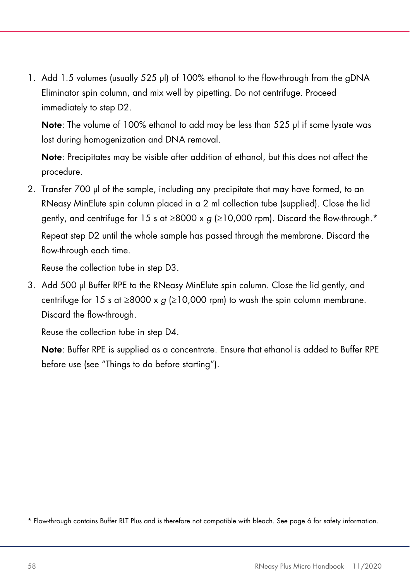1. Add 1.5 volumes (usually 525 µl) of 100% ethanol to the flow-through from the gDNA Eliminator spin column, and mix well by pipetting. Do not centrifuge. Proceed immediately to step D2.

Note: The volume of 100% ethanol to add may be less than 525 ul if some lysate was lost during homogenization and DNA removal.

Note: Precipitates may be visible after addition of ethanol, but this does not affect the procedure.

2. Transfer 700 µl of the sample, including any precipitate that may have formed, to an RNeasy MinElute spin column placed in a 2 ml collection tube (supplied). Close the lid gently, and centrifuge for 15 s at ≥8000 x  $g$  (≥10,000 rpm). Discard the flow-through.\* Repeat step D2 until the whole sample has passed through the membrane. Discard the flow-through each time.

Reuse the collection tube in step D3.

3. Add 500 µl Buffer RPE to the RNeasy MinElute spin column. Close the lid gently, and centrifuge for 15 s at  $\geq$ 8000 x q ( $\geq$ 10,000 rpm) to wash the spin column membrane. Discard the flow-through.

Reuse the collection tube in step D4.

Note: Buffer RPE is supplied as a concentrate. Ensure that ethanol is added to Buffer RPE before use (see "Things to do before starting").

\* Flow-through contains Buffer RLT Plus and is therefore not compatible with bleach. See page 6 for safety information.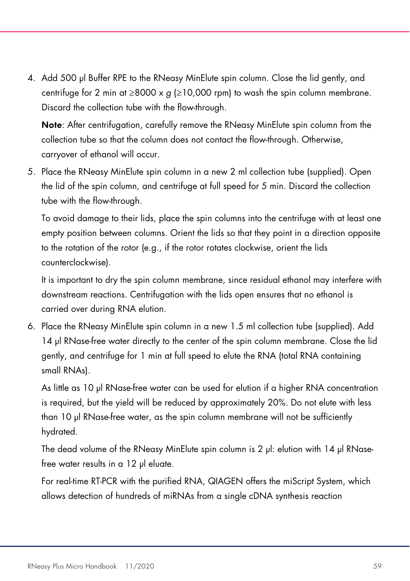4. Add 500 µl Buffer RPE to the RNeasy MinElute spin column. Close the lid gently, and centrifuge for 2 min at  $\geq$ 8000 x g ( $\geq$ 10,000 rpm) to wash the spin column membrane. Discard the collection tube with the flow-through.

Note: After centrifugation, carefully remove the RNeasy MinElute spin column from the collection tube so that the column does not contact the flow-through. Otherwise, carryover of ethanol will occur.

5. Place the RNeasy MinElute spin column in a new 2 ml collection tube (supplied). Open the lid of the spin column, and centrifuge at full speed for 5 min. Discard the collection tube with the flow-through.

To avoid damage to their lids, place the spin columns into the centrifuge with at least one empty position between columns. Orient the lids so that they point in a direction opposite to the rotation of the rotor (e.g., if the rotor rotates clockwise, orient the lids counterclockwise).

It is important to dry the spin column membrane, since residual ethanol may interfere with downstream reactions. Centrifugation with the lids open ensures that no ethanol is carried over during RNA elution.

6. Place the RNeasy MinElute spin column in a new 1.5 ml collection tube (supplied). Add 14 µl RNase-free water directly to the center of the spin column membrane. Close the lid gently, and centrifuge for 1 min at full speed to elute the RNA (total RNA containing small RNAs).

As little as 10 µl RNase-free water can be used for elution if a higher RNA concentration is required, but the yield will be reduced by approximately 20%. Do not elute with less than 10 µl RNase-free water, as the spin column membrane will not be sufficiently hydrated.

The dead volume of the RNeasy MinElute spin column is 2 µl: elution with 14 µl RNasefree water results in a 12 µl eluate.

For real-time RT-PCR with the purified RNA, QIAGEN offers the miScript System, which allows detection of hundreds of miRNAs from a single cDNA synthesis reaction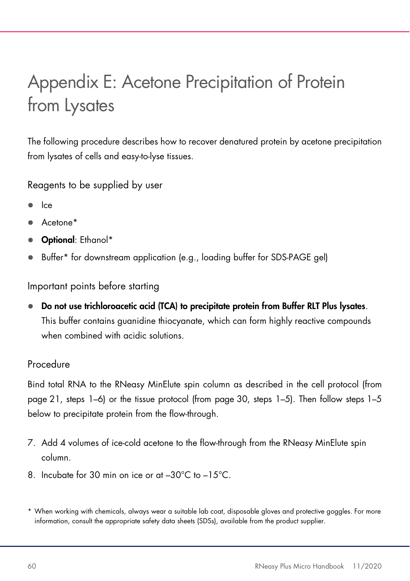## Appendix E: Acetone Precipitation of Protein from Lysates

The following procedure describes how to recover denatured protein by acetone precipitation from lysates of cells and easy-to-lyse tissues.

Reagents to be supplied by user

- Ice
- Acetone\*
- **Optional:** Ethanol\*
- Buffer\* for downstream application (e.g., loading buffer for SDS-PAGE gel)

Important points before starting

 Do not use trichloroacetic acid (TCA) to precipitate protein from Buffer RLT Plus lysates. This buffer contains guanidine thiocyanate, which can form highly reactive compounds when combined with acidic solutions.

### Procedure

Bind total RNA to the RNeasy MinElute spin column as described in the cell protocol (from page 21, steps 1–6) or the tissue protocol (from page 30, steps 1–5). Then follow steps 1–5 below to precipitate protein from the flow-through.

- 7. Add 4 volumes of ice-cold acetone to the flow-through from the RNeasy MinElute spin column.
- 8. Incubate for 30 min on ice or at –30°C to –15°C.
- \* When working with chemicals, always wear a suitable lab coat, disposable gloves and protective goggles. For more information, consult the appropriate safety data sheets (SDSs), available from the product supplier.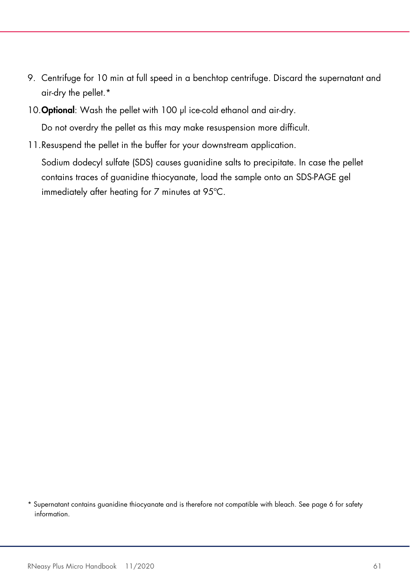- 9. Centrifuge for 10 min at full speed in a benchtop centrifuge. Discard the supernatant and air-dry the pellet.\*
- 10. Optional: Wash the pellet with 100 µl ice-cold ethanol and air-dry.

Do not overdry the pellet as this may make resuspension more difficult.

11.Resuspend the pellet in the buffer for your downstream application. Sodium dodecyl sulfate (SDS) causes guanidine salts to precipitate. In case the pellet contains traces of guanidine thiocyanate, load the sample onto an SDS-PAGE gel immediately after heating for 7 minutes at 95ºC.

<sup>\*</sup> Supernatant contains guanidine thiocyanate and is therefore not compatible with bleach. See page 6 for safety information.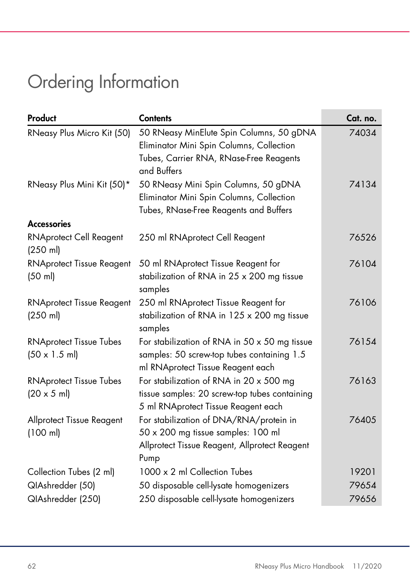# Ordering Information

| Product                                                        | <b>Contents</b>                                                                                                                                | Cat. no. |
|----------------------------------------------------------------|------------------------------------------------------------------------------------------------------------------------------------------------|----------|
| RNeasy Plus Micro Kit (50)                                     | 50 RNeasy MinElute Spin Columns, 50 gDNA<br>Eliminator Mini Spin Columns, Collection<br>Tubes, Carrier RNA, RNase-Free Reagents<br>and Buffers | 74034    |
| RNeasy Plus Mini Kit (50)*                                     | 50 RNeasy Mini Spin Columns, 50 gDNA<br>Eliminator Mini Spin Columns, Collection<br>Tubes, RNase-Free Reagents and Buffers                     | 74134    |
| <b>Accessories</b>                                             |                                                                                                                                                |          |
| <b>RNAprotect Cell Reagent</b><br>$(250 \text{ ml})$           | 250 ml RNAprotect Cell Reagent                                                                                                                 | 76526    |
| <b>RNAprotect Tissue Reagent</b><br>(50 ml)                    | 50 ml RNAprotect Tissue Reagent for<br>stabilization of RNA in 25 x 200 mg tissue<br>samples                                                   | 76104    |
| <b>RNAprotect Tissue Reagent</b><br>$(250 \text{ ml})$         | 250 ml RNAprotect Tissue Reagent for<br>stabilization of RNA in 125 x 200 mg tissue<br>samples                                                 | 76106    |
| <b>RNAprotect Tissue Tubes</b><br>$(50 \times 1.5 \text{ ml})$ | For stabilization of RNA in $50 \times 50$ mg tissue<br>samples: 50 screw-top tubes containing 1.5<br>ml RNAprotect Tissue Reagent each        | 76154    |
| <b>RNAprotect Tissue Tubes</b><br>$(20 \times 5 \text{ ml})$   | For stabilization of RNA in 20 x 500 mg<br>tissue samples: 20 screw-top tubes containing<br>5 ml RNAprotect Tissue Reagent each                | 76163    |
| Allprotect Tissue Reagent<br>(100 ml)                          | For stabilization of DNA/RNA/protein in<br>50 x 200 mg tissue samples: 100 ml<br>Allprotect Tissue Reagent, Allprotect Reagent<br>Pump         | 76405    |
| Collection Tubes (2 ml)                                        | 1000 x 2 ml Collection Tubes                                                                                                                   | 19201    |
| QIAshredder (50)                                               | 50 disposable cell-lysate homogenizers                                                                                                         | 79654    |
| QIAshredder (250)                                              | 250 disposable cell-lysate homogenizers                                                                                                        | 79656    |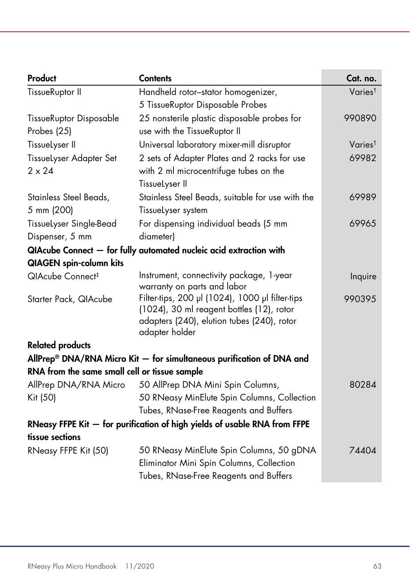| Product                                                                   | <b>Contents</b>                                                                         | Cat. no.            |
|---------------------------------------------------------------------------|-----------------------------------------------------------------------------------------|---------------------|
| TissueRuptor II                                                           | Handheld rotor-stator homogenizer,                                                      | Varies <sup>t</sup> |
|                                                                           | 5 TissueRuptor Disposable Probes                                                        |                     |
| TissueRuptor Disposable                                                   | 25 nonsterile plastic disposable probes for                                             | 990890              |
| Probes (25)                                                               | use with the TissueRuptor II                                                            |                     |
| TissueLyser II                                                            | Universal laboratory mixer-mill disruptor                                               | Varies <sup>t</sup> |
| TissueLyser Adapter Set                                                   | 2 sets of Adapter Plates and 2 racks for use                                            | 69982               |
| $2 \times 24$                                                             | with 2 ml microcentrifuge tubes on the                                                  |                     |
|                                                                           | TissueLyser II                                                                          |                     |
| Stainless Steel Beads,                                                    | Stainless Steel Beads, suitable for use with the                                        | 69989               |
| 5 mm (200)                                                                | Tissuelyser system                                                                      |                     |
| TissueLyser Single-Bead                                                   | For dispensing individual beads (5 mm                                                   | 69965               |
| Dispenser, 5 mm                                                           | diameter)                                                                               |                     |
| QIAcube Connect - for fully automated nucleic acid extraction with        |                                                                                         |                     |
| <b>QIAGEN</b> spin-column kits                                            |                                                                                         |                     |
| QIAcube Connect <sup>#</sup>                                              | Instrument, connectivity package, 1-year                                                | Inquire             |
|                                                                           | warranty on parts and labor                                                             |                     |
| Starter Pack, QIAcube                                                     | Filter-tips, 200 µl (1024), 1000 µl filter-tips                                         | 990395              |
|                                                                           | (1024), 30 ml reagent bottles (12), rotor<br>adapters (240), elution tubes (240), rotor |                     |
|                                                                           | adapter holder                                                                          |                     |
| <b>Related products</b>                                                   |                                                                                         |                     |
|                                                                           | AllPrep <sup>®</sup> DNA/RNA Micro Kit $-$ for simultaneous purification of DNA and     |                     |
| RNA from the same small cell or tissue sample                             |                                                                                         |                     |
| AllPrep DNA/RNA Micro                                                     | 50 AllPrep DNA Mini Spin Columns,                                                       | 80284               |
| Kit (50)                                                                  | 50 RNeasy MinElute Spin Columns, Collection                                             |                     |
|                                                                           | Tubes, RNase-Free Reagents and Buffers                                                  |                     |
| RNeasy FFPE Kit - for purification of high yields of usable RNA from FFPE |                                                                                         |                     |
| tissue sections                                                           |                                                                                         |                     |
| RNeasy FFPE Kit (50)                                                      | 50 RNeasy MinElute Spin Columns, 50 gDNA                                                | 74404               |
|                                                                           | Eliminator Mini Spin Columns, Collection                                                |                     |
|                                                                           | Tubes, RNase-Free Reagents and Buffers                                                  |                     |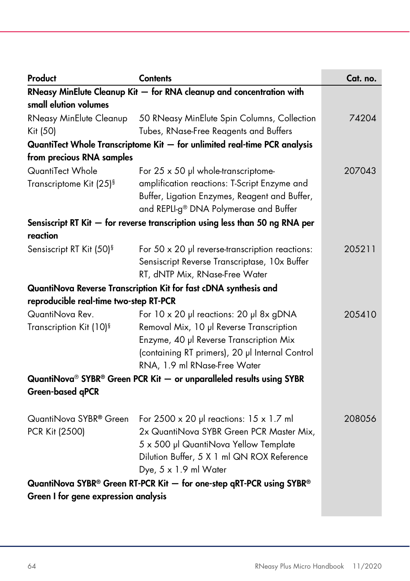| Product                                | <b>Contents</b>                                                                                | Cat. no. |
|----------------------------------------|------------------------------------------------------------------------------------------------|----------|
|                                        | RNeasy MinElute Cleanup Kit - for RNA cleanup and concentration with                           |          |
| small elution volumes                  |                                                                                                |          |
| RNeasy MinElute Cleanup                | 50 RNeasy MinElute Spin Columns, Collection                                                    | 74204    |
| Kit (50)                               | Tubes, RNase-Free Reagents and Buffers                                                         |          |
|                                        | QuantiTect Whole Transcriptome Kit - for unlimited real-time PCR analysis                      |          |
| from precious RNA samples              |                                                                                                |          |
| QuantiTect Whole                       | For $25 \times 50$ µl whole-transcriptome-                                                     | 207043   |
| Transcriptome Kit (25) <sup>§</sup>    | amplification reactions: T-Script Enzyme and                                                   |          |
|                                        | Buffer, Ligation Enzymes, Reagent and Buffer,                                                  |          |
|                                        | and REPLI-g® DNA Polymerase and Buffer                                                         |          |
|                                        | Sensiscript RT Kit - for reverse transcription using less than 50 ng RNA per                   |          |
| reaction                               |                                                                                                |          |
| Sensiscript RT Kit (50) <sup>§</sup>   | For $50 \times 20$ µ reverse-transcription reactions:                                          | 205211   |
|                                        | Sensiscript Reverse Transcriptase, 10x Buffer                                                  |          |
|                                        | RT, dNTP Mix, RNase-Free Water                                                                 |          |
|                                        | QuantiNova Reverse Transcription Kit for fast cDNA synthesis and                               |          |
| reproducible real-time two-step RT-PCR |                                                                                                |          |
| QuantiNova Rev.                        | For 10 x 20 µl reactions: 20 µl 8x gDNA                                                        | 205410   |
| Transcription Kit (10) <sup>§</sup>    | Removal Mix, 10 µl Reverse Transcription                                                       |          |
|                                        | Enzyme, 40 µl Reverse Transcription Mix                                                        |          |
|                                        | (containing RT primers), 20 µl Internal Control                                                |          |
|                                        | RNA, 1.9 ml RNase-Free Water                                                                   |          |
|                                        | QuantiNova <sup>®</sup> SYBR <sup>®</sup> Green PCR Kit $-$ or unparalleled results using SYBR |          |
| <b>Green-based qPCR</b>                |                                                                                                |          |
|                                        |                                                                                                |          |
| QuantiNova SYBR® Green                 | For $2500 \times 20$ µ reactions: $15 \times 1.7$ m                                            | 208056   |
| PCR Kit (2500)                         | 2x QuantiNova SYBR Green PCR Master Mix,                                                       |          |
|                                        | 5 x 500 µl QuantiNova Yellow Template                                                          |          |
|                                        | Dilution Buffer, 5 X 1 ml QN ROX Reference                                                     |          |
|                                        | Dye, $5 \times 1.9$ ml Water                                                                   |          |
|                                        | QuantiNova SYBR® Green RT-PCR Kit - for one-step qRT-PCR using SYBR®                           |          |
| Green I for gene expression analysis   |                                                                                                |          |
|                                        |                                                                                                |          |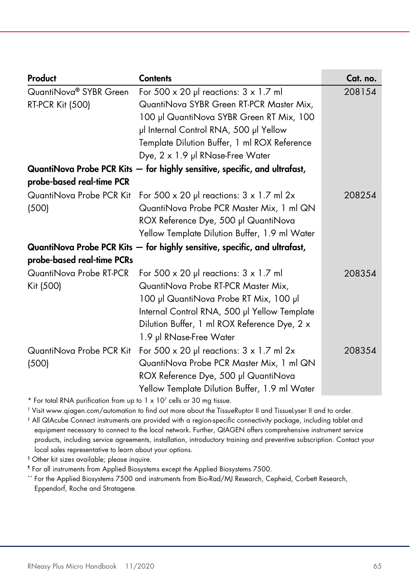| Product                            | <b>Contents</b>                                                            | Cat. no. |
|------------------------------------|----------------------------------------------------------------------------|----------|
| QuantiNova <sup>®</sup> SYBR Green | For 500 $\times$ 20 µ reactions: $3 \times 1.7$ ml                         | 208154   |
| <b>RT-PCR Kit (500)</b>            | QuantiNova SYBR Green RT-PCR Master Mix,                                   |          |
|                                    | 100 µl QuantiNova SYBR Green RT Mix, 100                                   |          |
|                                    | µl Internal Control RNA, 500 µl Yellow                                     |          |
|                                    | Template Dilution Buffer, 1 ml ROX Reference                               |          |
|                                    | Dye, 2 x 1.9 µl RNase-Free Water                                           |          |
|                                    | QuantiNova Probe PCR Kits - for highly sensitive, specific, and ultrafast, |          |
| probe-based real-time PCR          |                                                                            |          |
| QuantiNova Probe PCR Kit           | For 500 $\times$ 20 µl reactions: 3 $\times$ 1.7 ml 2 $\times$             | 208254   |
| (500)                              | QuantiNova Probe PCR Master Mix, 1 ml QN                                   |          |
|                                    | ROX Reference Dye, 500 µl QuantiNova                                       |          |
|                                    | Yellow Template Dilution Buffer, 1.9 ml Water                              |          |
|                                    | QuantiNova Probe PCR Kits - for highly sensitive, specific, and ultrafast, |          |
| probe-based real-time PCRs         |                                                                            |          |
| QuantiNova Probe RT-PCR            | For 500 $\times$ 20 µl reactions: $3 \times 1.7$ ml                        | 208354   |
| Kit (500)                          | QuantiNova Probe RT-PCR Master Mix,                                        |          |
|                                    | 100 µl QuantiNova Probe RT Mix, 100 µl                                     |          |
|                                    | Internal Control RNA, 500 µl Yellow Template                               |          |
|                                    | Dilution Buffer, 1 ml ROX Reference Dye, 2 x                               |          |
|                                    | 1.9 µl RNase-Free Water                                                    |          |
| QuantiNova Probe PCR Kit           | For 500 $\times$ 20 µl reactions: $3 \times 1.7$ ml 2x                     | 208354   |
| (500)                              | QuantiNova Probe PCR Master Mix, 1 ml QN                                   |          |
|                                    | ROX Reference Dye, 500 µl QuantiNova                                       |          |
|                                    | Yellow Template Dilution Buffer, 1.9 ml Water                              |          |

 $*$  For total RNA purification from up to 1  $\times$  10<sup>7</sup> cells or 30 mg tissue.

† Visit www.qiagen.com/automation to find out more about the TissueRuptor II and TissueLyser II and to order.

‡ All QIAcube Connect instruments are provided with a region-specific connectivity package, including tablet and equipment necessary to connect to the local network. Further, QIAGEN offers comprehensive instrument service products, including service agreements, installation, introductory training and preventive subscription. Contact your local sales representative to learn about your options.

§ Other kit sizes available; please inquire.

¶ For all instruments from Applied Biosystems except the Applied Biosystems 7500.

\*\* For the Applied Biosystems 7500 and instruments from Bio-Rad/MJ Research, Cepheid, Corbett Research, Eppendorf, Roche and Stratagene.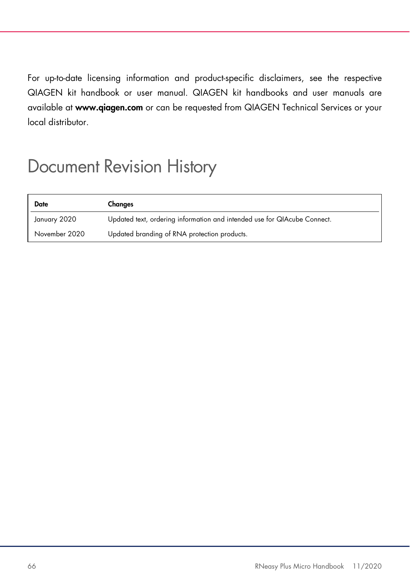For up-to-date licensing information and product-specific disclaimers, see the respective QIAGEN kit handbook or user manual. QIAGEN kit handbooks and user manuals are available at www.qiagen.com or can be requested from QIAGEN Technical Services or your local distributor.

### Document Revision History

| Date          | Changes                                                                  |
|---------------|--------------------------------------------------------------------------|
| January 2020  | Updated text, ordering information and intended use for QIAcube Connect. |
| November 2020 | Updated branding of RNA protection products.                             |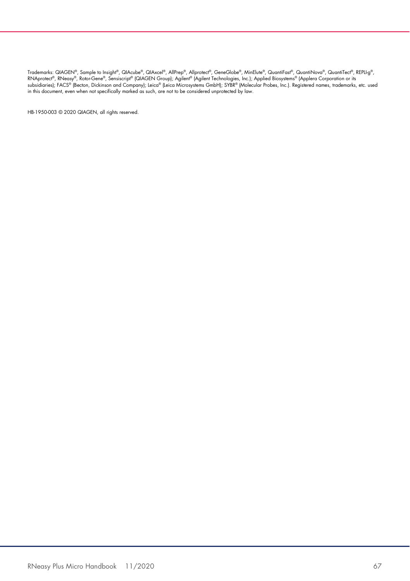Trademarks: QIAGEN®, Sample to Insighi®, QIAcube®, QIAxcel®, AllPrep®, Allproteci®, GeneGlobe®, MinElute®, QuantiTect®, RouantiTect®, REPLI-g®,<br>subsidiaries); FACS® (Becton, Dickinson and Company); Leica® (Leica Microsyste

HB-1950-003 © 2020 QIAGEN, all rights reserved.